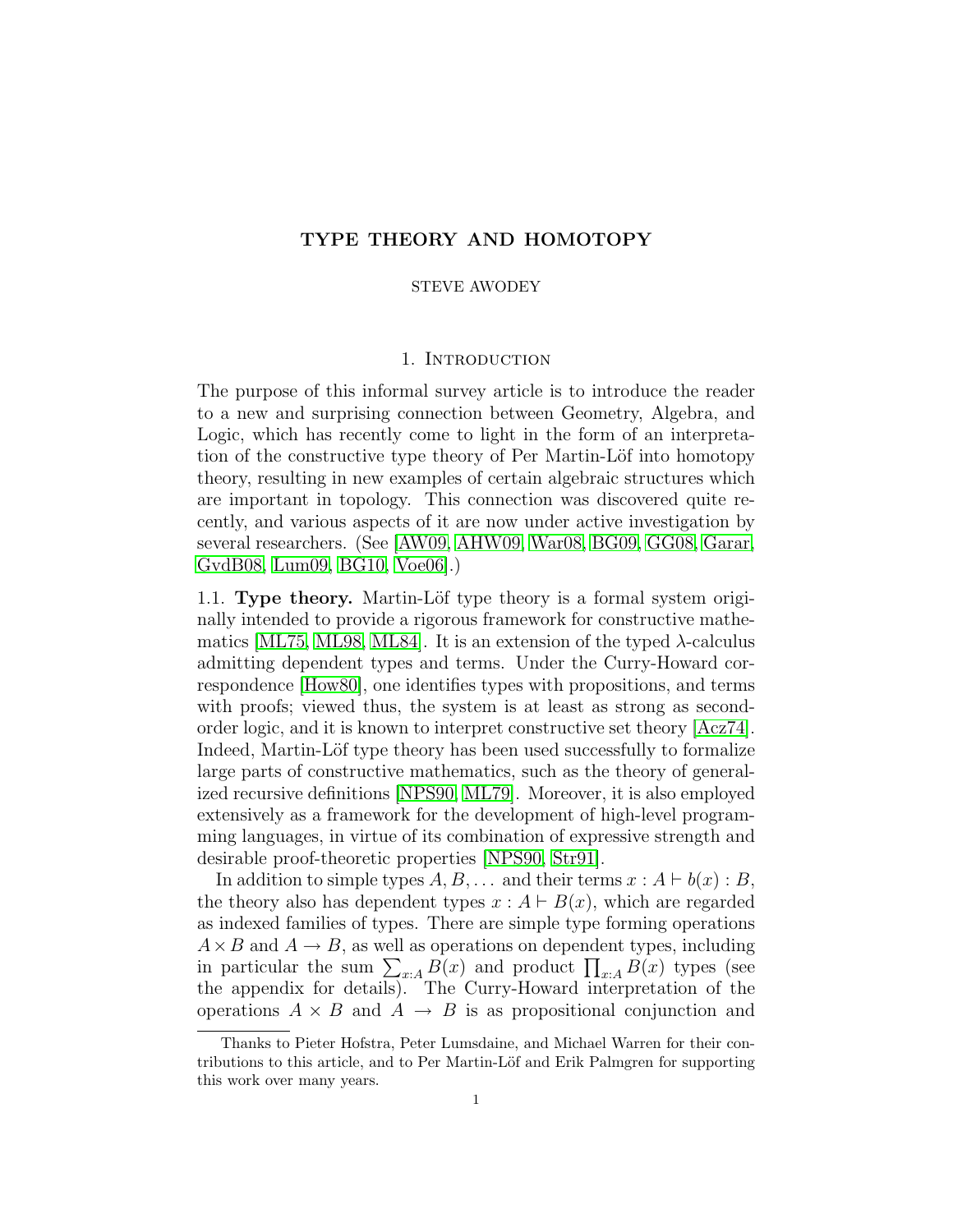# TYPE THEORY AND HOMOTOPY

#### STEVE AWODEY

### 1. Introduction

The purpose of this informal survey article is to introduce the reader to a new and surprising connection between Geometry, Algebra, and Logic, which has recently come to light in the form of an interpretation of the constructive type theory of Per Martin-Löf into homotopy theory, resulting in new examples of certain algebraic structures which are important in topology. This connection was discovered quite recently, and various aspects of it are now under active investigation by several researchers. (See [\[AW09,](#page-16-0) [AHW09,](#page-16-1) [War08,](#page-19-0) [BG09,](#page-17-0) [GG08,](#page-17-1) [Garar,](#page-17-2) [GvdB08,](#page-17-3) [Lum09,](#page-18-0) [BG10,](#page-17-4) [Voe06\]](#page-19-1).)

1.1. Type theory. Martin-Löf type theory is a formal system originally intended to provide a rigorous framework for constructive mathe-matics [\[ML75,](#page-18-1) [ML98,](#page-18-2) [ML84\]](#page-18-3). It is an extension of the typed  $\lambda$ -calculus admitting dependent types and terms. Under the Curry-Howard correspondence [\[How80\]](#page-17-5), one identifies types with propositions, and terms with proofs; viewed thus, the system is at least as strong as secondorder logic, and it is known to interpret constructive set theory [\[Acz74\]](#page-16-2). Indeed, Martin-Löf type theory has been used successfully to formalize large parts of constructive mathematics, such as the theory of generalized recursive definitions [\[NPS90,](#page-18-4) [ML79\]](#page-18-5). Moreover, it is also employed extensively as a framework for the development of high-level programming languages, in virtue of its combination of expressive strength and desirable proof-theoretic properties [\[NPS90,](#page-18-4) [Str91\]](#page-19-2).

In addition to simple types  $A, B, \ldots$  and their terms  $x : A \vdash b(x) : B$ , the theory also has dependent types  $x : A \vdash B(x)$ , which are regarded as indexed families of types. There are simple type forming operations  $A \times B$  and  $A \rightarrow B$ , as well as operations on dependent types, including in particular the sum  $\sum_{x:A} B(x)$  and product  $\prod_{x:A} B(x)$  types (see the appendix for details). The Curry-Howard interpretation of the operations  $A \times B$  and  $A \rightarrow B$  is as propositional conjunction and

Thanks to Pieter Hofstra, Peter Lumsdaine, and Michael Warren for their contributions to this article, and to Per Martin-Löf and Erik Palmgren for supporting this work over many years.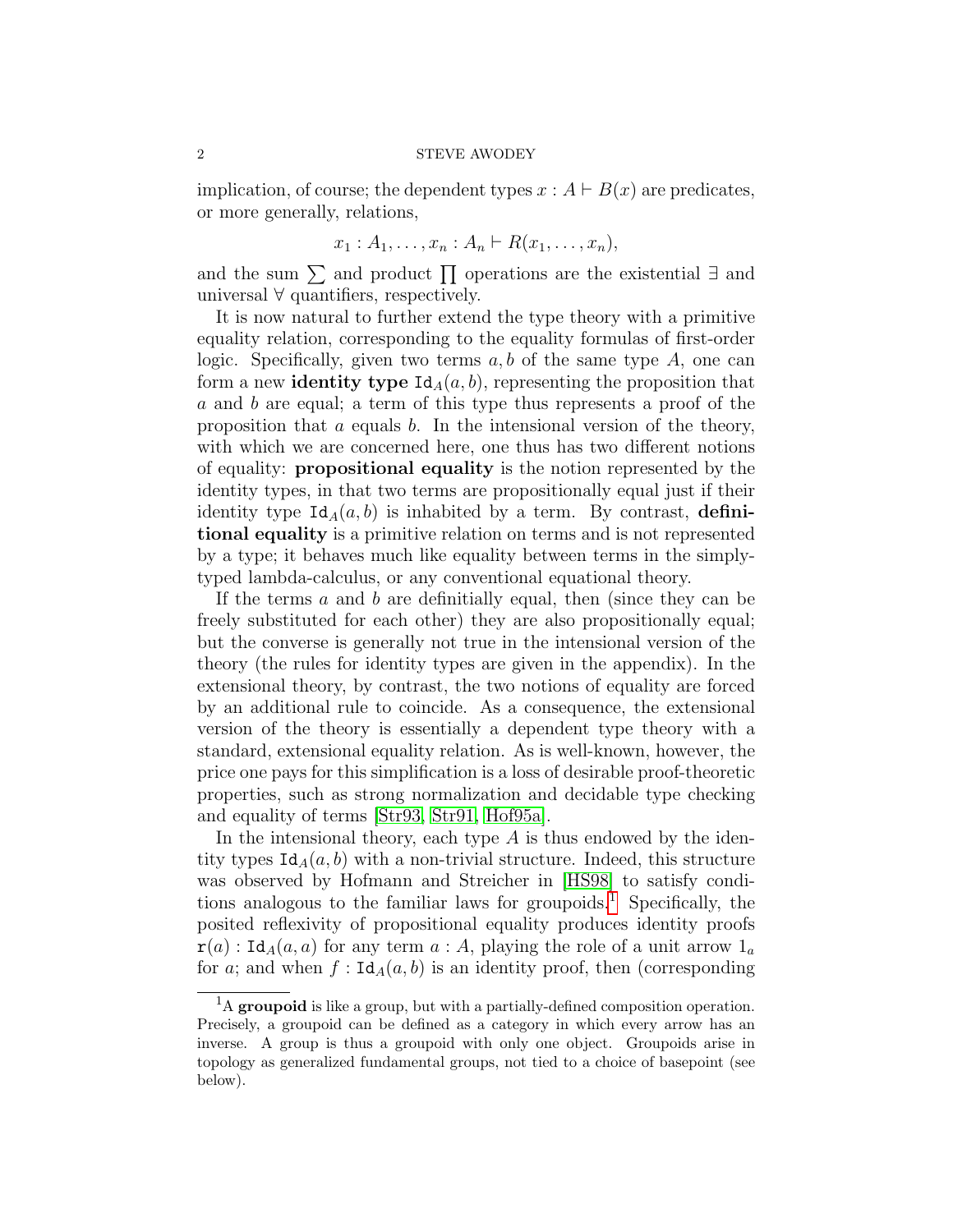implication, of course; the dependent types  $x : A \vdash B(x)$  are predicates, or more generally, relations,

$$
x_1:A_1,\ldots,x_n:A_n\vdash R(x_1,\ldots,x_n),
$$

and the sum  $\sum$  and product  $\prod$  operations are the existential ∃ and universal ∀ quantifiers, respectively.

It is now natural to further extend the type theory with a primitive equality relation, corresponding to the equality formulas of first-order logic. Specifically, given two terms  $a, b$  of the same type  $A$ , one can form a new **identity type**  $Id_A(a, b)$ , representing the proposition that a and b are equal; a term of this type thus represents a proof of the proposition that  $a$  equals  $b$ . In the intensional version of the theory, with which we are concerned here, one thus has two different notions of equality: propositional equality is the notion represented by the identity types, in that two terms are propositionally equal just if their identity type  $Id_A(a, b)$  is inhabited by a term. By contrast, definitional equality is a primitive relation on terms and is not represented by a type; it behaves much like equality between terms in the simplytyped lambda-calculus, or any conventional equational theory.

If the terms  $a$  and  $b$  are definitially equal, then (since they can be freely substituted for each other) they are also propositionally equal; but the converse is generally not true in the intensional version of the theory (the rules for identity types are given in the appendix). In the extensional theory, by contrast, the two notions of equality are forced by an additional rule to coincide. As a consequence, the extensional version of the theory is essentially a dependent type theory with a standard, extensional equality relation. As is well-known, however, the price one pays for this simplification is a loss of desirable proof-theoretic properties, such as strong normalization and decidable type checking and equality of terms [\[Str93,](#page-19-3) [Str91,](#page-19-2) [Hof95a\]](#page-17-6).

In the intensional theory, each type  $A$  is thus endowed by the identity types  $Id_A(a, b)$  with a non-trivial structure. Indeed, this structure was observed by Hofmann and Streicher in [\[HS98\]](#page-17-7) to satisfy condi-tions analogous to the familiar laws for groupoids.<sup>[1](#page-1-0)</sup> Specifically, the posited reflexivity of propositional equality produces identity proofs  $\mathbf{r}(a)$ : Id<sub>A</sub> $(a, a)$  for any term  $a : A$ , playing the role of a unit arrow  $1_a$ for a; and when  $f : \text{Id}_A(a, b)$  is an identity proof, then (corresponding

<span id="page-1-0"></span><sup>&</sup>lt;sup>1</sup>A groupoid is like a group, but with a partially-defined composition operation. Precisely, a groupoid can be defined as a category in which every arrow has an inverse. A group is thus a groupoid with only one object. Groupoids arise in topology as generalized fundamental groups, not tied to a choice of basepoint (see below).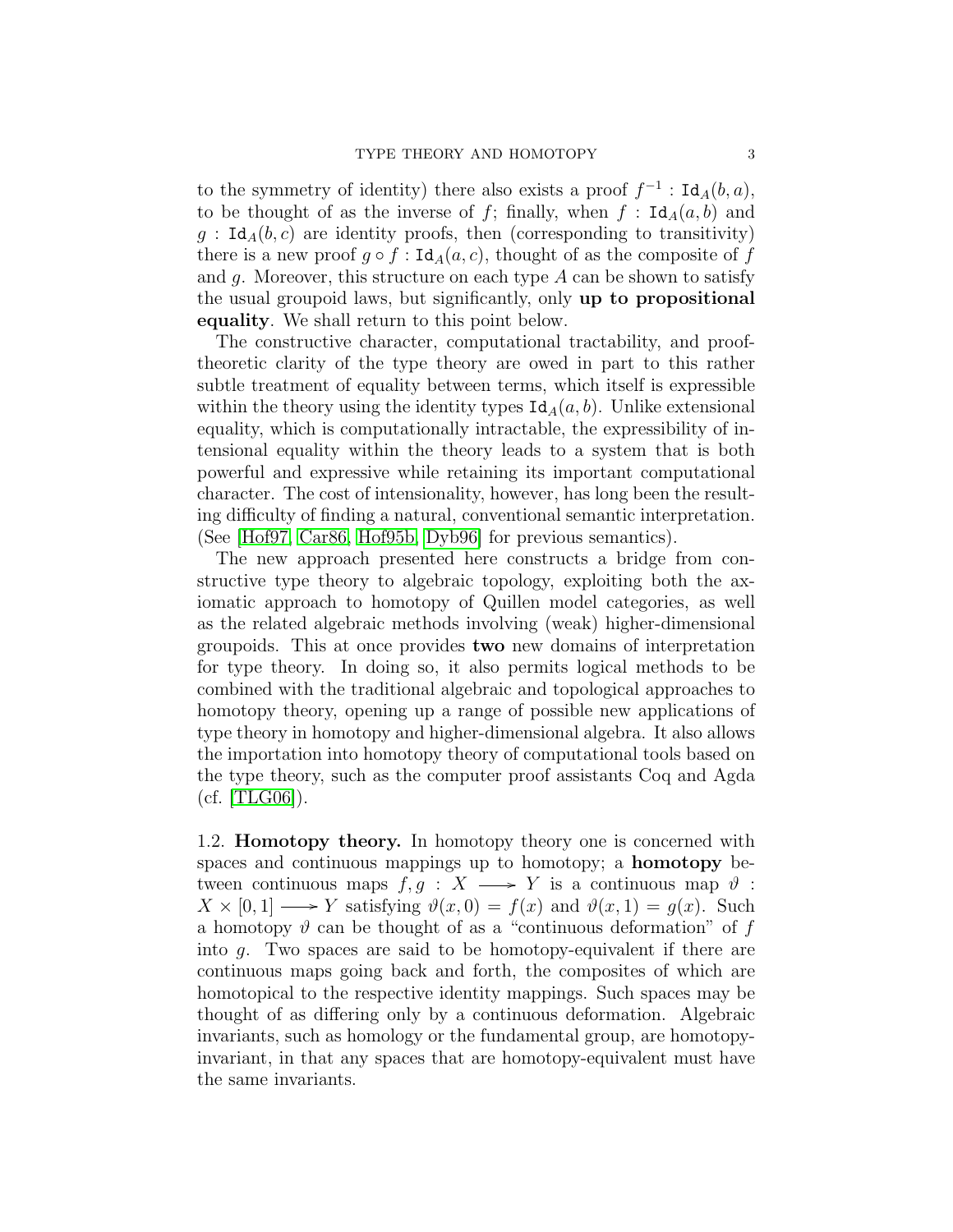to the symmetry of identity) there also exists a proof  $f^{-1}$ :  $\text{Id}_A(b, a)$ , to be thought of as the inverse of f; finally, when  $f : \text{Id}_A(a, b)$  and  $g : \text{Id}_A(b, c)$  are identity proofs, then (corresponding to transitivity) there is a new proof  $g \circ f : \text{Id}_A(a, c)$ , thought of as the composite of f and q. Moreover, this structure on each type  $A$  can be shown to satisfy the usual groupoid laws, but significantly, only up to propositional equality. We shall return to this point below.

The constructive character, computational tractability, and prooftheoretic clarity of the type theory are owed in part to this rather subtle treatment of equality between terms, which itself is expressible within the theory using the identity types  $\text{Id}_{A}(a, b)$ . Unlike extensional equality, which is computationally intractable, the expressibility of intensional equality within the theory leads to a system that is both powerful and expressive while retaining its important computational character. The cost of intensionality, however, has long been the resulting difficulty of finding a natural, conventional semantic interpretation. (See [\[Hof97,](#page-17-8) [Car86,](#page-17-9) [Hof95b,](#page-17-10) [Dyb96\]](#page-17-11) for previous semantics).

The new approach presented here constructs a bridge from constructive type theory to algebraic topology, exploiting both the axiomatic approach to homotopy of Quillen model categories, as well as the related algebraic methods involving (weak) higher-dimensional groupoids. This at once provides two new domains of interpretation for type theory. In doing so, it also permits logical methods to be combined with the traditional algebraic and topological approaches to homotopy theory, opening up a range of possible new applications of type theory in homotopy and higher-dimensional algebra. It also allows the importation into homotopy theory of computational tools based on the type theory, such as the computer proof assistants Coq and Agda  $(cf. |TLG06|).$ 

1.2. Homotopy theory. In homotopy theory one is concerned with spaces and continuous mappings up to homotopy; a homotopy between continuous maps  $f, g: X \longrightarrow Y$  is a continuous map  $\vartheta$ :  $X \times [0, 1] \longrightarrow Y$  satisfying  $\vartheta(x, 0) = f(x)$  and  $\vartheta(x, 1) = g(x)$ . Such a homotopy  $\vartheta$  can be thought of as a "continuous deformation" of f into g. Two spaces are said to be homotopy-equivalent if there are continuous maps going back and forth, the composites of which are homotopical to the respective identity mappings. Such spaces may be thought of as differing only by a continuous deformation. Algebraic invariants, such as homology or the fundamental group, are homotopyinvariant, in that any spaces that are homotopy-equivalent must have the same invariants.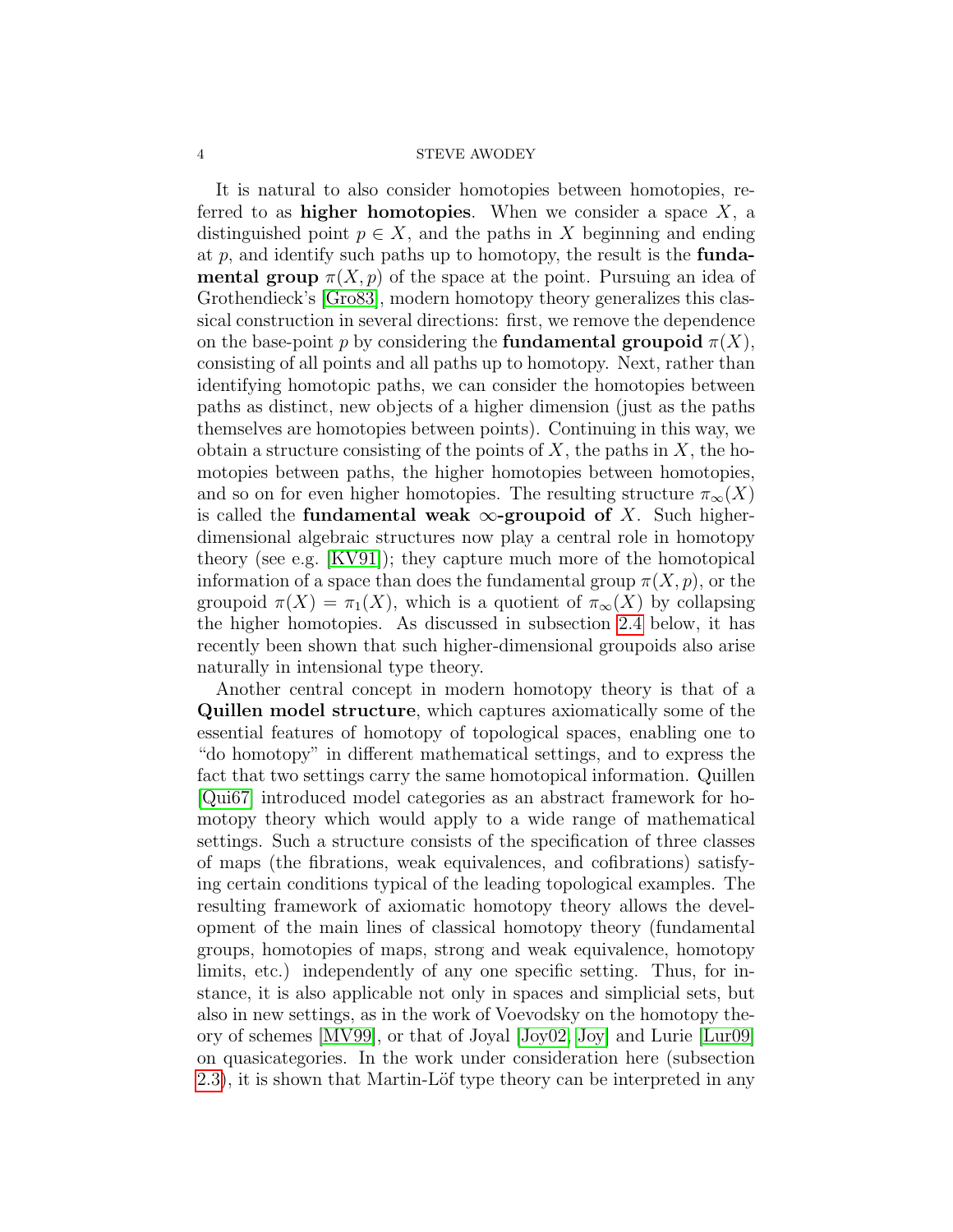It is natural to also consider homotopies between homotopies, referred to as **higher homotopies**. When we consider a space  $X$ , a distinguished point  $p \in X$ , and the paths in X beginning and ending at  $p$ , and identify such paths up to homotopy, the result is the **funda**mental group  $\pi(X, p)$  of the space at the point. Pursuing an idea of Grothendieck's [\[Gro83\]](#page-17-12), modern homotopy theory generalizes this classical construction in several directions: first, we remove the dependence on the base-point p by considering the **fundamental groupoid**  $\pi(X)$ , consisting of all points and all paths up to homotopy. Next, rather than identifying homotopic paths, we can consider the homotopies between paths as distinct, new objects of a higher dimension (just as the paths themselves are homotopies between points). Continuing in this way, we obtain a structure consisting of the points of X, the paths in  $X$ , the homotopies between paths, the higher homotopies between homotopies, and so on for even higher homotopies. The resulting structure  $\pi_{\infty}(X)$ is called the **fundamental weak**  $\infty$ -groupoid of X. Such higherdimensional algebraic structures now play a central role in homotopy theory (see e.g. [\[KV91\]](#page-18-6)); they capture much more of the homotopical information of a space than does the fundamental group  $\pi(X, p)$ , or the groupoid  $\pi(X) = \pi_1(X)$ , which is a quotient of  $\pi_{\infty}(X)$  by collapsing the higher homotopies. As discussed in subsection [2.4](#page-10-0) below, it has recently been shown that such higher-dimensional groupoids also arise naturally in intensional type theory.

Another central concept in modern homotopy theory is that of a Quillen model structure, which captures axiomatically some of the essential features of homotopy of topological spaces, enabling one to "do homotopy" in different mathematical settings, and to express the fact that two settings carry the same homotopical information. Quillen [\[Qui67\]](#page-18-7) introduced model categories as an abstract framework for homotopy theory which would apply to a wide range of mathematical settings. Such a structure consists of the specification of three classes of maps (the fibrations, weak equivalences, and cofibrations) satisfying certain conditions typical of the leading topological examples. The resulting framework of axiomatic homotopy theory allows the development of the main lines of classical homotopy theory (fundamental groups, homotopies of maps, strong and weak equivalence, homotopy limits, etc.) independently of any one specific setting. Thus, for instance, it is also applicable not only in spaces and simplicial sets, but also in new settings, as in the work of Voevodsky on the homotopy theory of schemes [\[MV99\]](#page-18-8), or that of Joyal [\[Joy02,](#page-18-9) [Joy\]](#page-18-10) and Lurie [\[Lur09\]](#page-18-11) on quasicategories. In the work under consideration here (subsection [2.3\)](#page-5-0), it is shown that Martin-Löf type theory can be interpreted in any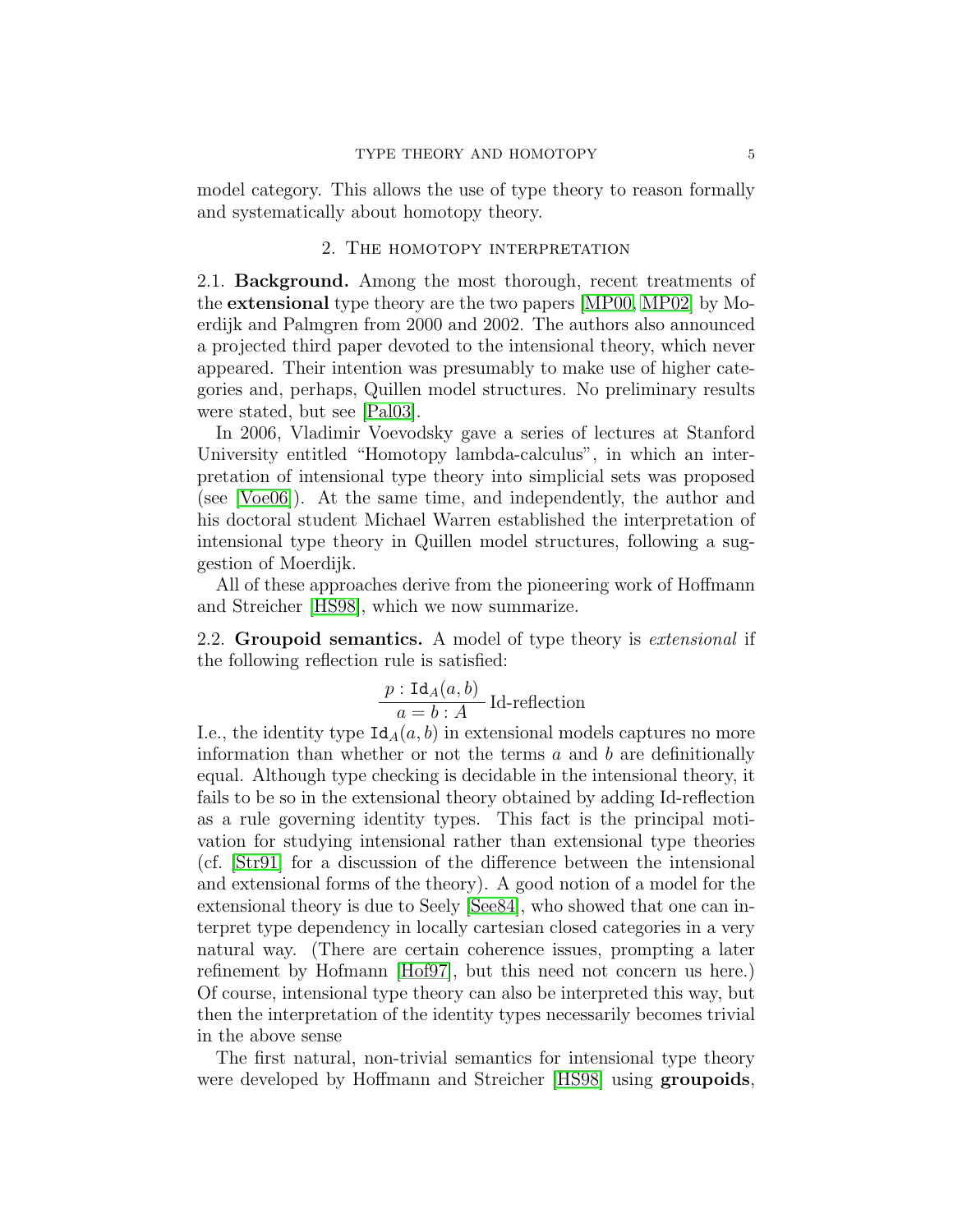model category. This allows the use of type theory to reason formally and systematically about homotopy theory.

### 2. The homotopy interpretation

2.1. Background. Among the most thorough, recent treatments of the extensional type theory are the two papers [\[MP00,](#page-18-12) [MP02\]](#page-18-13) by Moerdijk and Palmgren from 2000 and 2002. The authors also announced a projected third paper devoted to the intensional theory, which never appeared. Their intention was presumably to make use of higher categories and, perhaps, Quillen model structures. No preliminary results were stated, but see [\[Pal03\]](#page-18-14).

In 2006, Vladimir Voevodsky gave a series of lectures at Stanford University entitled "Homotopy lambda-calculus", in which an interpretation of intensional type theory into simplicial sets was proposed (see [\[Voe06\]](#page-19-1)). At the same time, and independently, the author and his doctoral student Michael Warren established the interpretation of intensional type theory in Quillen model structures, following a suggestion of Moerdijk.

All of these approaches derive from the pioneering work of Hoffmann and Streicher [\[HS98\]](#page-17-7), which we now summarize.

2.2. Groupoid semantics. A model of type theory is *extensional* if the following reflection rule is satisfied:

$$
\frac{p: \text{Id}_A(a, b)}{a = b: A} \text{ Id-reflection}
$$

I.e., the identity type  $Id_A(a, b)$  in extensional models captures no more information than whether or not the terms  $a$  and  $b$  are definitionally equal. Although type checking is decidable in the intensional theory, it fails to be so in the extensional theory obtained by adding Id-reflection as a rule governing identity types. This fact is the principal motivation for studying intensional rather than extensional type theories (cf. [\[Str91\]](#page-19-2) for a discussion of the difference between the intensional and extensional forms of the theory). A good notion of a model for the extensional theory is due to Seely [\[See84\]](#page-18-15), who showed that one can interpret type dependency in locally cartesian closed categories in a very natural way. (There are certain coherence issues, prompting a later refinement by Hofmann [\[Hof97\]](#page-17-8), but this need not concern us here.) Of course, intensional type theory can also be interpreted this way, but then the interpretation of the identity types necessarily becomes trivial in the above sense

The first natural, non-trivial semantics for intensional type theory were developed by Hoffmann and Streicher [\[HS98\]](#page-17-7) using groupoids,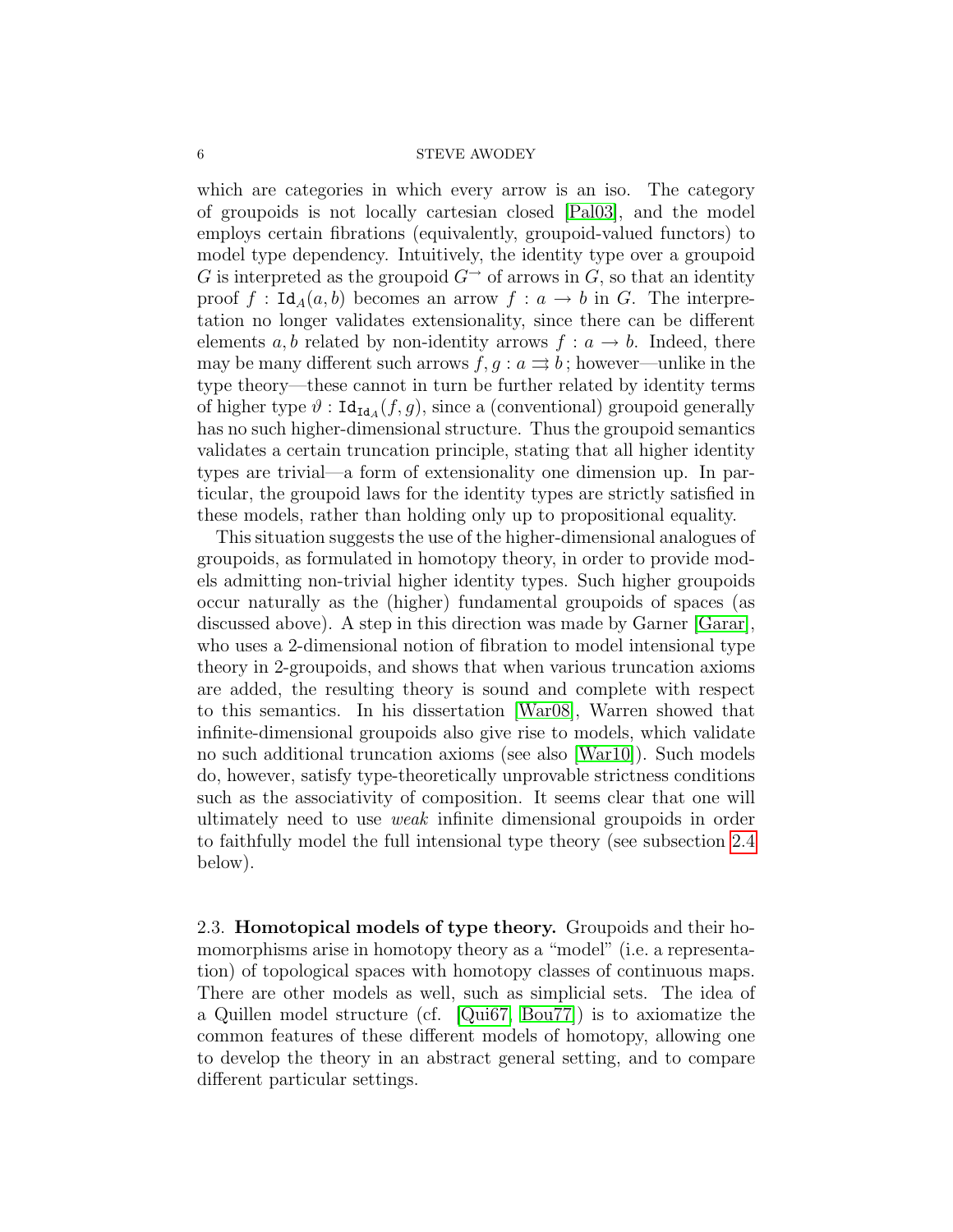which are categories in which every arrow is an iso. The category of groupoids is not locally cartesian closed [\[Pal03\]](#page-18-14), and the model employs certain fibrations (equivalently, groupoid-valued functors) to model type dependency. Intuitively, the identity type over a groupoid G is interpreted as the groupoid  $G^{\rightarrow}$  of arrows in G, so that an identity proof f :  $\text{Id}_A(a, b)$  becomes an arrow  $f : a \to b$  in G. The interpretation no longer validates extensionality, since there can be different elements a, b related by non-identity arrows  $f: a \rightarrow b$ . Indeed, there may be many different such arrows  $f, g : a \implies b$ ; however—unlike in the type theory—these cannot in turn be further related by identity terms of higher type  $\vartheta$ :  $\text{Id}_{\text{Id}_A}(f,g)$ , since a (conventional) groupoid generally has no such higher-dimensional structure. Thus the groupoid semantics validates a certain truncation principle, stating that all higher identity types are trivial—a form of extensionality one dimension up. In particular, the groupoid laws for the identity types are strictly satisfied in these models, rather than holding only up to propositional equality.

This situation suggests the use of the higher-dimensional analogues of groupoids, as formulated in homotopy theory, in order to provide models admitting non-trivial higher identity types. Such higher groupoids occur naturally as the (higher) fundamental groupoids of spaces (as discussed above). A step in this direction was made by Garner [\[Garar\]](#page-17-2), who uses a 2-dimensional notion of fibration to model intensional type theory in 2-groupoids, and shows that when various truncation axioms are added, the resulting theory is sound and complete with respect to this semantics. In his dissertation [\[War08\]](#page-19-0), Warren showed that infinite-dimensional groupoids also give rise to models, which validate no such additional truncation axioms (see also [\[War10\]](#page-19-5)). Such models do, however, satisfy type-theoretically unprovable strictness conditions such as the associativity of composition. It seems clear that one will ultimately need to use weak infinite dimensional groupoids in order to faithfully model the full intensional type theory (see subsection [2.4](#page-10-0) below).

<span id="page-5-0"></span>2.3. Homotopical models of type theory. Groupoids and their homomorphisms arise in homotopy theory as a "model" (i.e. a representation) of topological spaces with homotopy classes of continuous maps. There are other models as well, such as simplicial sets. The idea of a Quillen model structure (cf. [\[Qui67,](#page-18-7) [Bou77\]](#page-17-13)) is to axiomatize the common features of these different models of homotopy, allowing one to develop the theory in an abstract general setting, and to compare different particular settings.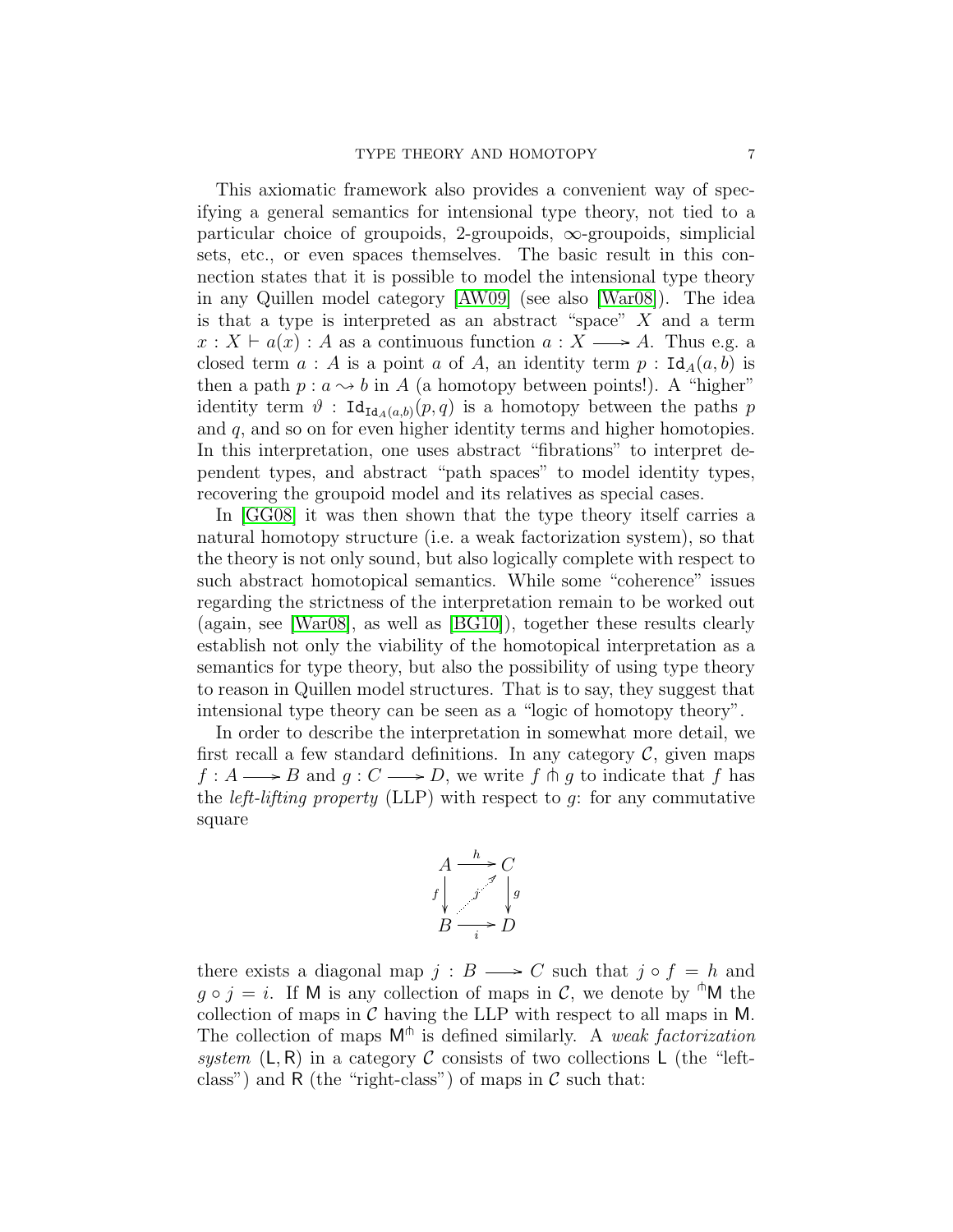This axiomatic framework also provides a convenient way of specifying a general semantics for intensional type theory, not tied to a particular choice of groupoids, 2-groupoids,  $\infty$ -groupoids, simplicial sets, etc., or even spaces themselves. The basic result in this connection states that it is possible to model the intensional type theory in any Quillen model category [\[AW09\]](#page-16-0) (see also [\[War08\]](#page-19-0)). The idea is that a type is interpreted as an abstract "space"  $X$  and a term  $x : X \vdash a(x) : A$  as a continuous function  $a : X \longrightarrow A$ . Thus e.g. a closed term  $a : A$  is a point  $a$  of  $A$ , an identity term  $p : \text{Id}_A(a, b)$  is then a path  $p: a \rightarrow b$  in A (a homotopy between points!). A "higher" identity term  $\vartheta$ : Id<sub>Id<sub>4</sub>(a,b)</sub> $(p, q)$  is a homotopy between the paths p and q, and so on for even higher identity terms and higher homotopies. In this interpretation, one uses abstract "fibrations" to interpret dependent types, and abstract "path spaces" to model identity types, recovering the groupoid model and its relatives as special cases.

In [\[GG08\]](#page-17-1) it was then shown that the type theory itself carries a natural homotopy structure (i.e. a weak factorization system), so that the theory is not only sound, but also logically complete with respect to such abstract homotopical semantics. While some "coherence" issues regarding the strictness of the interpretation remain to be worked out (again, see [\[War08\]](#page-19-0), as well as [\[BG10\]](#page-17-4)), together these results clearly establish not only the viability of the homotopical interpretation as a semantics for type theory, but also the possibility of using type theory to reason in Quillen model structures. That is to say, they suggest that intensional type theory can be seen as a "logic of homotopy theory".

In order to describe the interpretation in somewhat more detail, we first recall a few standard definitions. In any category  $\mathcal{C}$ , given maps  $f : A \longrightarrow B$  and  $g : C \longrightarrow D$ , we write f  $\uparrow$  g to indicate that f has the *left-lifting property* (LLP) with respect to  $g$ : for any commutative square



there exists a diagonal map  $j : B \longrightarrow C$  such that  $j \circ f = h$  and  $g \circ j = i$ . If M is any collection of maps in C, we denote by <sup> $\uparrow$ </sup>M the collection of maps in  $\mathcal C$  having the LLP with respect to all maps in M. The collection of maps  $M^{\uparrow}$  is defined similarly. A weak factorization system  $(L, R)$  in a category C consists of two collections L (the "leftclass") and R (the "right-class") of maps in  $\mathcal C$  such that: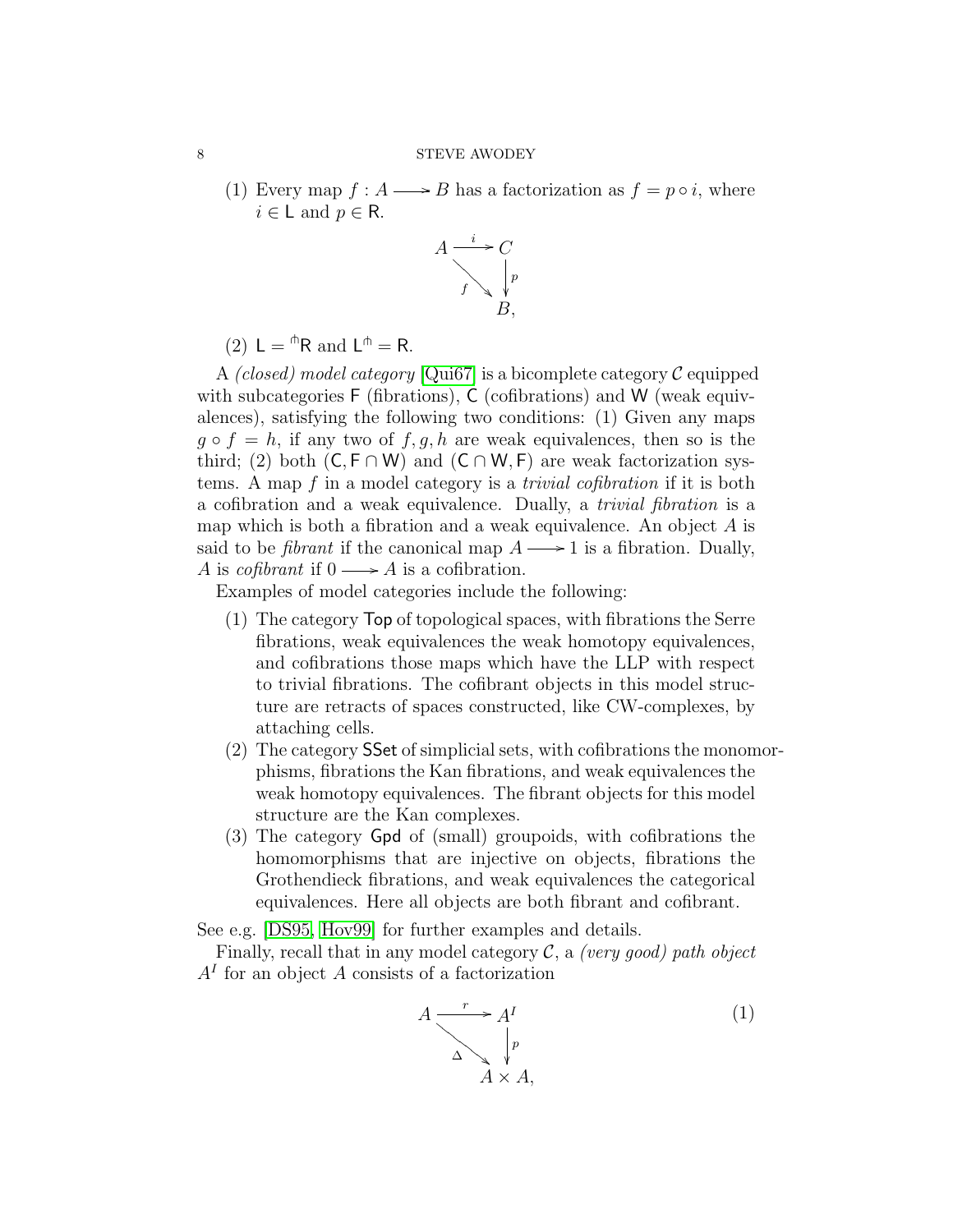(1) Every map  $f : A \longrightarrow B$  has a factorization as  $f = p \circ i$ , where  $i \in L$  and  $p \in R$ .



(2) 
$$
\mathsf{L} = {}^{\mathsf{h}} \mathsf{R}
$$
 and  $\mathsf{L}^{\mathsf{h}} = \mathsf{R}$ .

A *(closed)* model category  $\lbrack \text{Qui67} \rbrack$  is a bicomplete category  $\mathcal C$  equipped with subcategories F (fibrations), C (cofibrations) and W (weak equivalences), satisfying the following two conditions: (1) Given any maps  $g \circ f = h$ , if any two of  $f, g, h$  are weak equivalences, then so is the third; (2) both  $(C, F \cap W)$  and  $(C \cap W, F)$  are weak factorization systems. A map f in a model category is a trivial cofibration if it is both a cofibration and a weak equivalence. Dually, a trivial fibration is a map which is both a fibration and a weak equivalence. An object  $A$  is said to be *fibrant* if the canonical map  $A \longrightarrow 1$  is a fibration. Dually, A is *cofibrant* if  $0 \rightarrow A$  is a cofibration.

Examples of model categories include the following:

- (1) The category Top of topological spaces, with fibrations the Serre fibrations, weak equivalences the weak homotopy equivalences, and cofibrations those maps which have the LLP with respect to trivial fibrations. The cofibrant objects in this model structure are retracts of spaces constructed, like CW-complexes, by attaching cells.
- (2) The category SSet of simplicial sets, with cofibrations the monomorphisms, fibrations the Kan fibrations, and weak equivalences the weak homotopy equivalences. The fibrant objects for this model structure are the Kan complexes.
- (3) The category Gpd of (small) groupoids, with cofibrations the homomorphisms that are injective on objects, fibrations the Grothendieck fibrations, and weak equivalences the categorical equivalences. Here all objects are both fibrant and cofibrant.

See e.g. [\[DS95,](#page-17-14) [Hov99\]](#page-17-15) for further examples and details.

Finally, recall that in any model category  $\mathcal{C}$ , a *(very good)* path object  $A<sup>I</sup>$  for an object A consists of a factorization

<span id="page-7-0"></span>
$$
A \xrightarrow{\begin{array}{c} r \to A^I \\ \searrow \searrow \searrow \\ A \times A, \end{array}} (1)
$$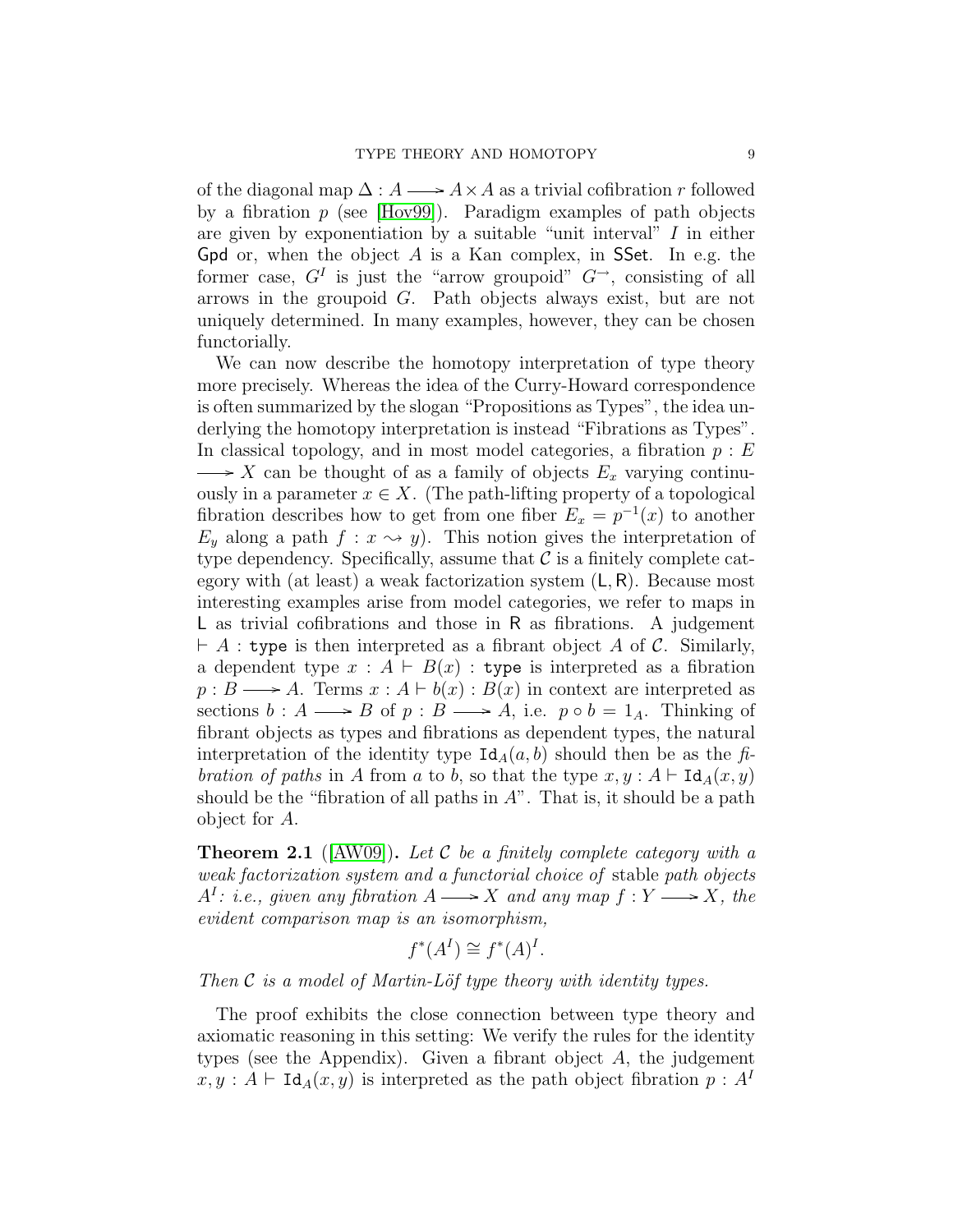of the diagonal map  $\Delta: A \longrightarrow A \times A$  as a trivial cofibration r followed by a fibration  $p$  (see [\[Hov99\]](#page-17-15)). Paradigm examples of path objects are given by exponentiation by a suitable "unit interval" I in either Gpd or, when the object  $A$  is a Kan complex, in SSet. In e.g. the former case,  $G^I$  is just the "arrow groupoid"  $G^{\rightarrow}$ , consisting of all arrows in the groupoid G. Path objects always exist, but are not uniquely determined. In many examples, however, they can be chosen functorially.

We can now describe the homotopy interpretation of type theory more precisely. Whereas the idea of the Curry-Howard correspondence is often summarized by the slogan "Propositions as Types", the idea underlying the homotopy interpretation is instead "Fibrations as Types". In classical topology, and in most model categories, a fibration  $p : E$  $\longrightarrow X$  can be thought of as a family of objects  $E_x$  varying continuously in a parameter  $x \in X$ . (The path-lifting property of a topological fibration describes how to get from one fiber  $E_x = p^{-1}(x)$  to another  $E_y$  along a path  $f: x \rightsquigarrow y$ . This notion gives the interpretation of type dependency. Specifically, assume that  $\mathcal C$  is a finitely complete category with (at least) a weak factorization system  $(L, R)$ . Because most interesting examples arise from model categories, we refer to maps in L as trivial cofibrations and those in R as fibrations. A judgement  $\vdash A$ : type is then interpreted as a fibrant object A of C. Similarly, a dependent type  $x : A \vdash B(x)$ : type is interpreted as a fibration  $p : B \longrightarrow A$ . Terms  $x : A \vdash b(x) : B(x)$  in context are interpreted as sections  $b : A \longrightarrow B$  of  $p : B \longrightarrow A$ , i.e.  $p \circ b = 1_A$ . Thinking of fibrant objects as types and fibrations as dependent types, the natural interpretation of the identity type  $\text{Id}_A(a, b)$  should then be as the fibration of paths in A from a to b, so that the type  $x, y : A \vdash \text{Id}_A(x, y)$ should be the "fibration of all paths in  $A$ ". That is, it should be a path object for A.

**Theorem 2.1** ( $[AW09]$ ). Let C be a finitely complete category with a weak factorization system and a functorial choice of stable path objects  $A<sup>I</sup>: i.e., given any fibration A \longrightarrow X and any map f: Y \longrightarrow X, the$ evident comparison map is an isomorphism,

$$
f^*(A^I) \cong f^*(A)^I.
$$

Then  $\mathcal C$  is a model of Martin-Löf type theory with identity types.

The proof exhibits the close connection between type theory and axiomatic reasoning in this setting: We verify the rules for the identity types (see the Appendix). Given a fibrant object A, the judgement  $x, y : A \vdash \text{Id}_A(x, y)$  is interpreted as the path object fibration  $p : A^I$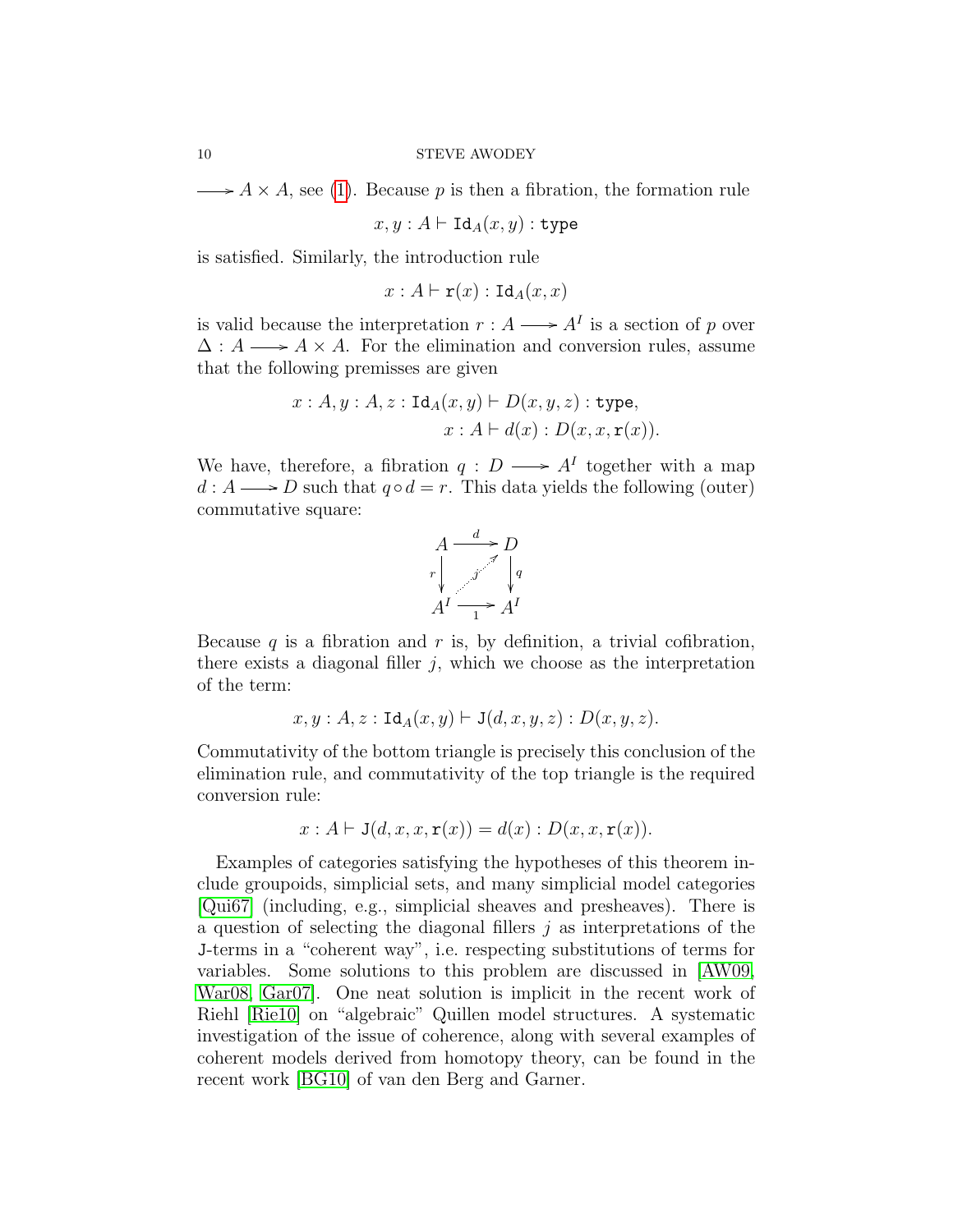$\longrightarrow A \times A$ , see [\(1\)](#page-7-0). Because p is then a fibration, the formation rule

 $x, y : A \vdash \mathrm{Id}_A(x, y) :$ type

is satisfied. Similarly, the introduction rule

 $x : A \vdash r(x) : \text{Id}_A(x, x)$ 

is valid because the interpretation  $r : A \longrightarrow A^I$  is a section of p over  $\Delta: A \longrightarrow A \times A$ . For the elimination and conversion rules, assume that the following premisses are given

$$
x : A, y : A, z : \text{Id}_{A}(x, y) \vdash D(x, y, z) : \text{type},
$$

$$
x : A \vdash d(x) : D(x, x, \mathbf{r}(x)).
$$

We have, therefore, a fibration  $q: D \longrightarrow A^I$  together with a map  $d : A \longrightarrow D$  such that  $q \circ d = r$ . This data yields the following (outer) commutative square:



Because  $q$  is a fibration and  $r$  is, by definition, a trivial cofibration, there exists a diagonal filler  $j$ , which we choose as the interpretation of the term:

$$
x, y : A, z : \mathrm{Id}_A(x, y) \vdash \mathrm{J}(d, x, y, z) : D(x, y, z).
$$

Commutativity of the bottom triangle is precisely this conclusion of the elimination rule, and commutativity of the top triangle is the required conversion rule:

$$
x: A \vdash J(d, x, x, \mathbf{r}(x)) = d(x): D(x, x, \mathbf{r}(x)).
$$

Examples of categories satisfying the hypotheses of this theorem include groupoids, simplicial sets, and many simplicial model categories [\[Qui67\]](#page-18-7) (including, e.g., simplicial sheaves and presheaves). There is a question of selecting the diagonal fillers  $\dot{\gamma}$  as interpretations of the J-terms in a "coherent way", i.e. respecting substitutions of terms for variables. Some solutions to this problem are discussed in [\[AW09,](#page-16-0) [War08,](#page-19-0) [Gar07\]](#page-17-16). One neat solution is implicit in the recent work of Riehl [\[Rie10\]](#page-18-16) on "algebraic" Quillen model structures. A systematic investigation of the issue of coherence, along with several examples of coherent models derived from homotopy theory, can be found in the recent work [\[BG10\]](#page-17-4) of van den Berg and Garner.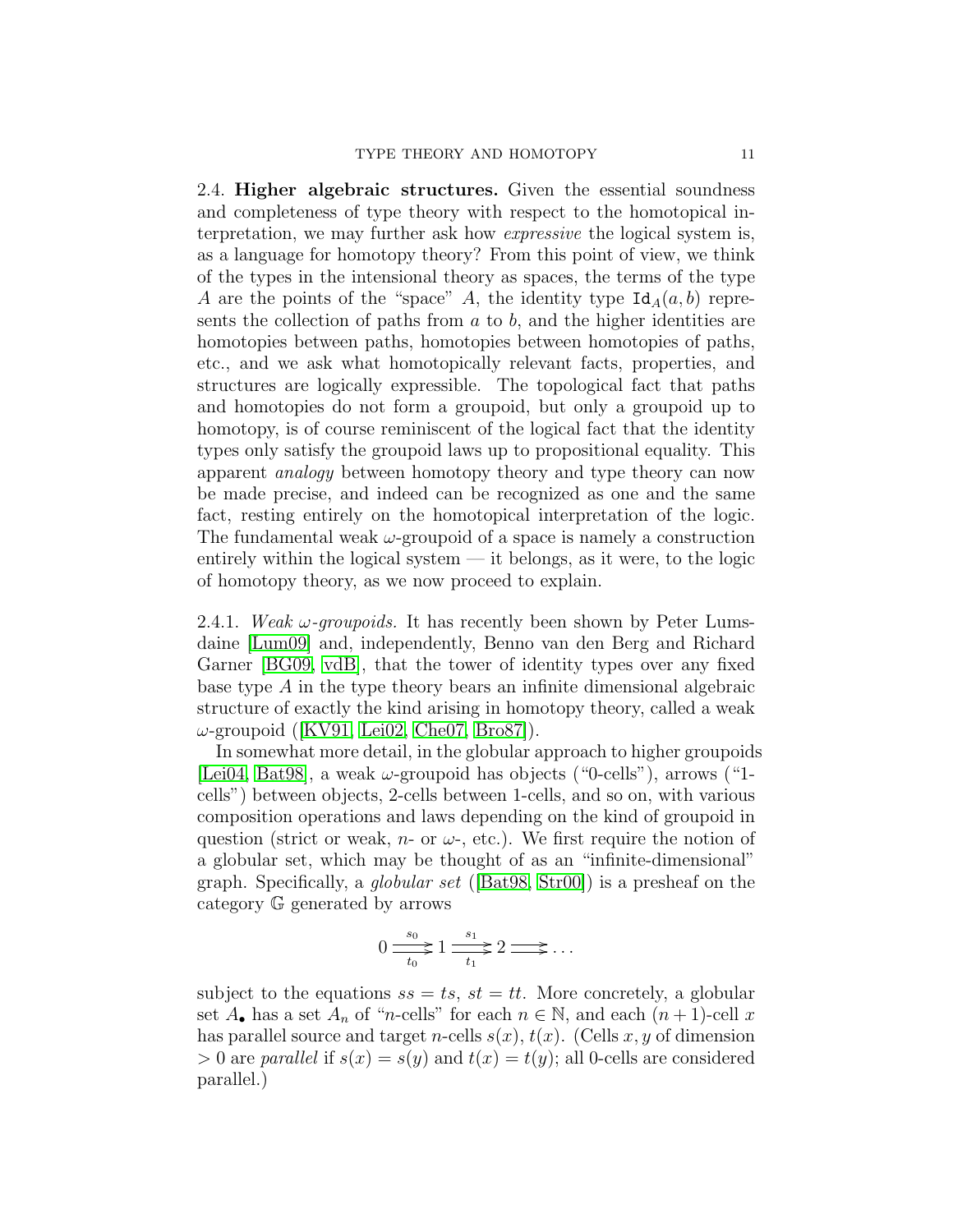<span id="page-10-0"></span>2.4. Higher algebraic structures. Given the essential soundness and completeness of type theory with respect to the homotopical interpretation, we may further ask how expressive the logical system is, as a language for homotopy theory? From this point of view, we think of the types in the intensional theory as spaces, the terms of the type A are the points of the "space" A, the identity type  $\text{Id}_A(a, b)$  represents the collection of paths from  $a$  to  $b$ , and the higher identities are homotopies between paths, homotopies between homotopies of paths, etc., and we ask what homotopically relevant facts, properties, and structures are logically expressible. The topological fact that paths and homotopies do not form a groupoid, but only a groupoid up to homotopy, is of course reminiscent of the logical fact that the identity types only satisfy the groupoid laws up to propositional equality. This apparent analogy between homotopy theory and type theory can now be made precise, and indeed can be recognized as one and the same fact, resting entirely on the homotopical interpretation of the logic. The fundamental weak  $\omega$ -groupoid of a space is namely a construction entirely within the logical system  $-$  it belongs, as it were, to the logic of homotopy theory, as we now proceed to explain.

2.4.1. Weak  $\omega$ -groupoids. It has recently been shown by Peter Lumsdaine [\[Lum09\]](#page-18-0) and, independently, Benno van den Berg and Richard Garner [\[BG09,](#page-17-0) [vdB\]](#page-19-6), that the tower of identity types over any fixed base type A in the type theory bears an infinite dimensional algebraic structure of exactly the kind arising in homotopy theory, called a weak  $\omega$ -groupoid([\[KV91,](#page-18-6) [Lei02,](#page-18-17) [Che07,](#page-17-17) [Bro87\]](#page-17-18)).

In somewhat more detail, in the globular approach to higher groupoids [\[Lei04,](#page-18-18) [Bat98\]](#page-16-3), a weak  $\omega$ -groupoid has objects ("0-cells"), arrows ("1cells") between objects, 2-cells between 1-cells, and so on, with various composition operations and laws depending on the kind of groupoid in question (strict or weak, *n*- or  $\omega$ -, etc.). We first require the notion of a globular set, which may be thought of as an "infinite-dimensional" graph. Specifically, a globular set ([\[Bat98,](#page-16-3) [Str00\]](#page-19-7)) is a presheaf on the category G generated by arrows

$$
0 \xrightarrow[t_0]{s_0} 1 \xrightarrow[t_1]{s_1} 2 \xrightarrow[t_1]{\cdots} \cdots
$$

subject to the equations  $ss = ts, st = tt$ . More concretely, a globular set  $A_{\bullet}$  has a set  $A_n$  of "n-cells" for each  $n \in \mathbb{N}$ , and each  $(n+1)$ -cell x has parallel source and target *n*-cells  $s(x)$ ,  $t(x)$ . (Cells x, y of dimension  $> 0$  are parallel if  $s(x) = s(y)$  and  $t(x) = t(y)$ ; all 0-cells are considered parallel.)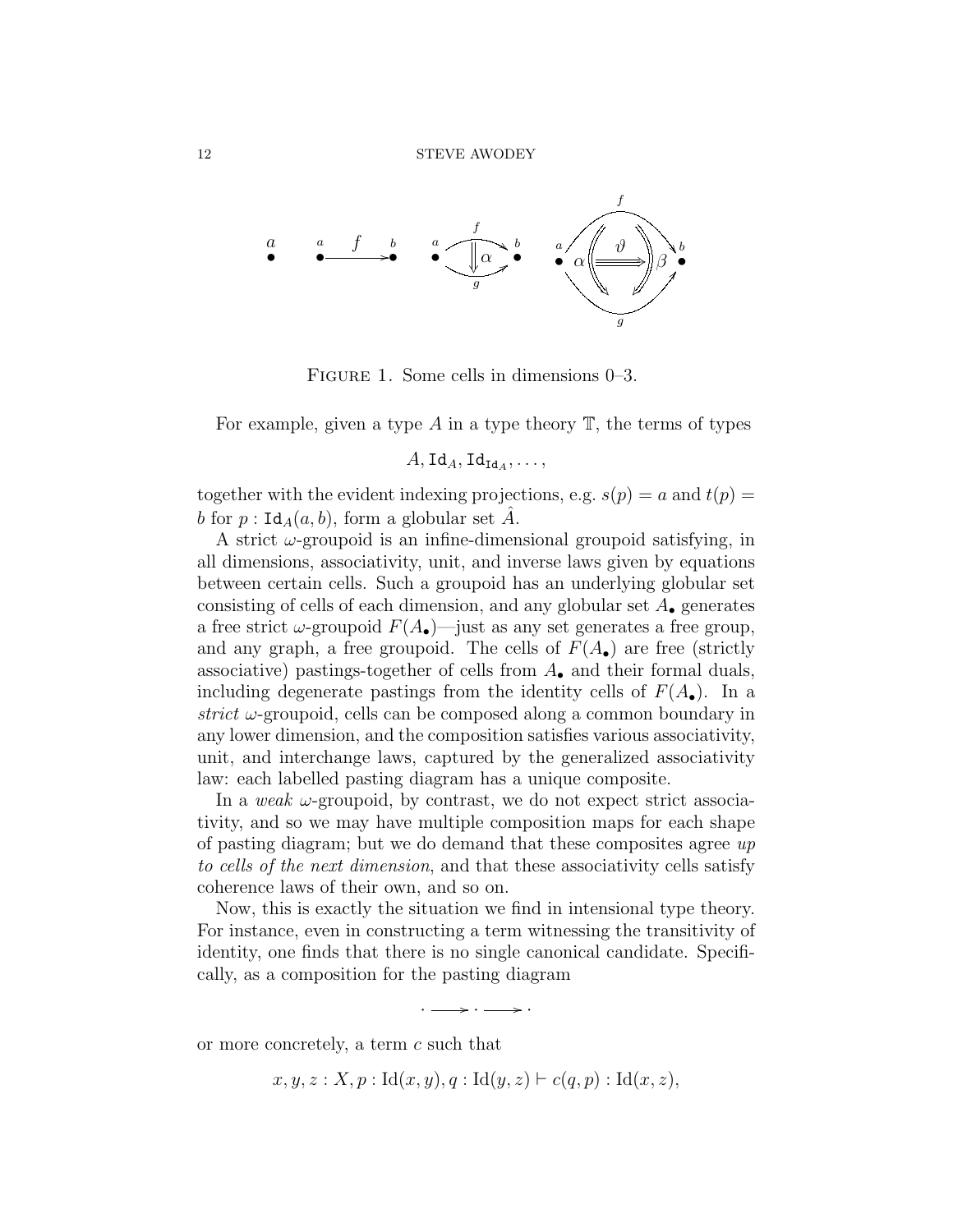

Figure 1. Some cells in dimensions 0–3.

For example, given a type A in a type theory  $\mathbb T$ , the terms of types

$$
A,\mathrm{Id}_A,\mathrm{Id}_{\mathrm{Id}_A},\ldots,
$$

together with the evident indexing projections, e.g.  $s(p) = a$  and  $t(p) =$ b for  $p : \text{Id}_A(a, b)$ , form a globular set A.

A strict  $\omega$ -groupoid is an infine-dimensional groupoid satisfying, in all dimensions, associativity, unit, and inverse laws given by equations between certain cells. Such a groupoid has an underlying globular set consisting of cells of each dimension, and any globular set  $A_{\bullet}$  generates a free strict  $\omega$ -groupoid  $F(A_{\bullet})$ —just as any set generates a free group, and any graph, a free groupoid. The cells of  $F(A_{\bullet})$  are free (strictly associative) pastings-together of cells from  $A_{\bullet}$  and their formal duals, including degenerate pastings from the identity cells of  $F(A_{\bullet})$ . In a strict  $\omega$ -groupoid, cells can be composed along a common boundary in any lower dimension, and the composition satisfies various associativity, unit, and interchange laws, captured by the generalized associativity law: each labelled pasting diagram has a unique composite.

In a weak  $\omega$ -groupoid, by contrast, we do not expect strict associativity, and so we may have multiple composition maps for each shape of pasting diagram; but we do demand that these composites agree up to cells of the next dimension, and that these associativity cells satisfy coherence laws of their own, and so on.

Now, this is exactly the situation we find in intensional type theory. For instance, even in constructing a term witnessing the transitivity of identity, one finds that there is no single canonical candidate. Specifically, as a composition for the pasting diagram



or more concretely, a term c such that

 $x, y, z : X, p : Id(x, y), q : Id(y, z) \vdash c(q, p) : Id(x, z),$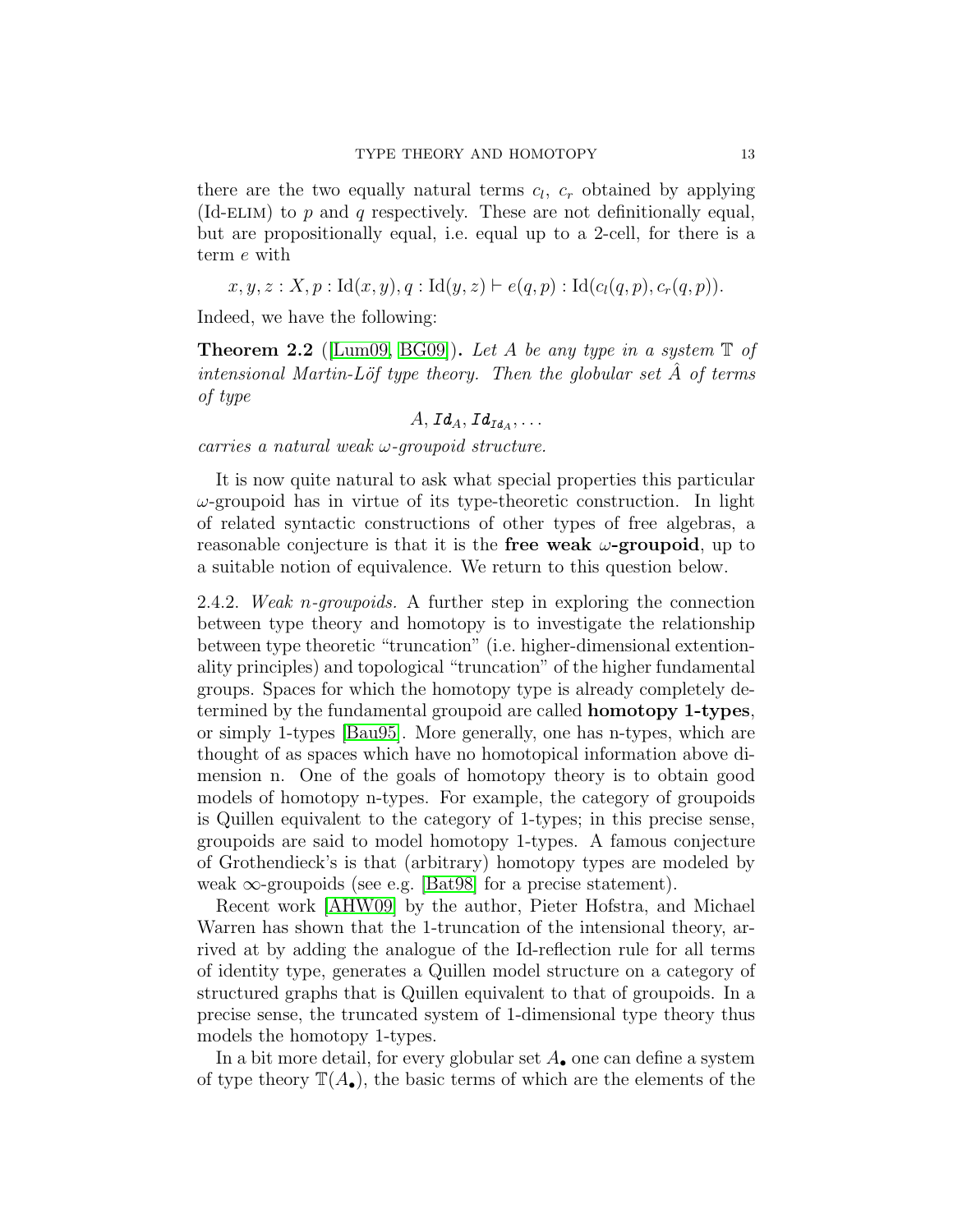there are the two equally natural terms  $c_l$ ,  $c_r$  obtained by applying (Id-ELIM) to  $p$  and  $q$  respectively. These are not definitionally equal, but are propositionally equal, i.e. equal up to a 2-cell, for there is a term e with

 $x, y, z : X, p : Id(x, y), q : Id(y, z) \vdash e(q, p) : Id(c<sub>l</sub>(q, p), c<sub>r</sub>(q, p)).$ 

Indeed, we have the following:

**Theorem 2.2** ([\[Lum09,](#page-18-0) [BG09\]](#page-17-0)). Let A be any type in a system  $\mathbb{T}$  of intensional Martin-Löf type theory. Then the globular set  $A$  of terms of type

$$
A, Id_A, Id_{Id_A}, \ldots
$$

carries a natural weak ω-groupoid structure.

It is now quite natural to ask what special properties this particular  $\omega$ -groupoid has in virtue of its type-theoretic construction. In light of related syntactic constructions of other types of free algebras, a reasonable conjecture is that it is the free weak  $\omega$ -groupoid, up to a suitable notion of equivalence. We return to this question below.

2.4.2. Weak n-groupoids. A further step in exploring the connection between type theory and homotopy is to investigate the relationship between type theoretic "truncation" (i.e. higher-dimensional extentionality principles) and topological "truncation" of the higher fundamental groups. Spaces for which the homotopy type is already completely determined by the fundamental groupoid are called homotopy 1-types, or simply 1-types [\[Bau95\]](#page-16-4). More generally, one has n-types, which are thought of as spaces which have no homotopical information above dimension n. One of the goals of homotopy theory is to obtain good models of homotopy n-types. For example, the category of groupoids is Quillen equivalent to the category of 1-types; in this precise sense, groupoids are said to model homotopy 1-types. A famous conjecture of Grothendieck's is that (arbitrary) homotopy types are modeled by weak  $\infty$ -groupoids (see e.g. [\[Bat98\]](#page-16-3) for a precise statement).

Recent work [\[AHW09\]](#page-16-1) by the author, Pieter Hofstra, and Michael Warren has shown that the 1-truncation of the intensional theory, arrived at by adding the analogue of the Id-reflection rule for all terms of identity type, generates a Quillen model structure on a category of structured graphs that is Quillen equivalent to that of groupoids. In a precise sense, the truncated system of 1-dimensional type theory thus models the homotopy 1-types.

In a bit more detail, for every globular set  $A_{\bullet}$  one can define a system of type theory  $\mathbb{T}(A_{\bullet})$ , the basic terms of which are the elements of the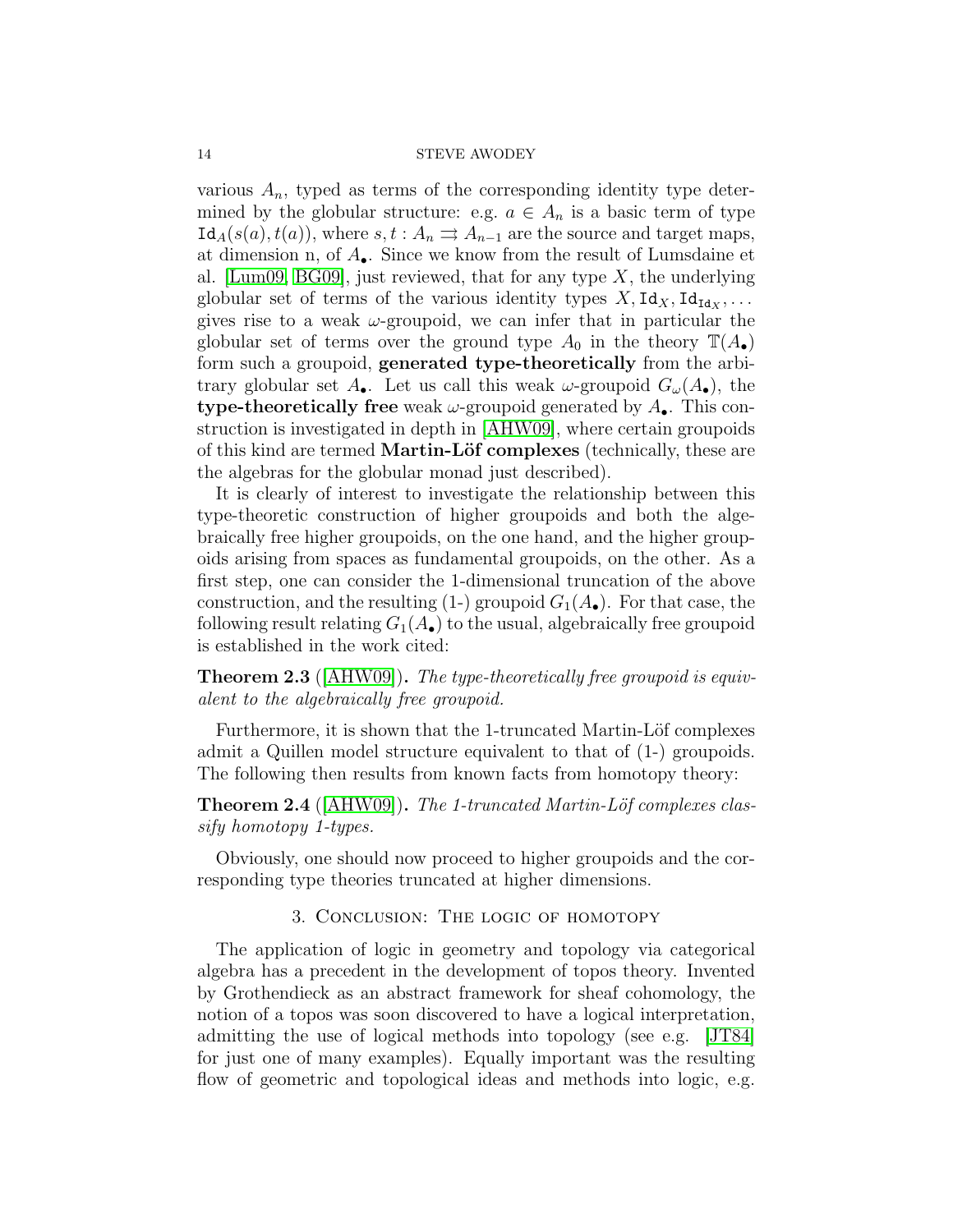various  $A_n$ , typed as terms of the corresponding identity type determined by the globular structure: e.g.  $a \in A_n$  is a basic term of type  $\text{Id}_A(s(a), t(a))$ , where  $s, t : A_n \rightrightarrows A_{n-1}$  are the source and target maps, at dimension n, of  $A_{\bullet}$ . Since we know from the result of Lumsdaine et al. [\[Lum09,](#page-18-0) [BG09\]](#page-17-0), just reviewed, that for any type  $X$ , the underlying globular set of terms of the various identity types  $X, \mathrm{Id}_X, \mathrm{Id}_{\mathrm{Id}_X}, \ldots$ gives rise to a weak  $\omega$ -groupoid, we can infer that in particular the globular set of terms over the ground type  $A_0$  in the theory  $\mathbb{T}(A_{\bullet})$ form such a groupoid, generated type-theoretically from the arbitrary globular set  $A_{\bullet}$ . Let us call this weak  $\omega$ -groupoid  $G_{\omega}(A_{\bullet})$ , the type-theoretically free weak  $\omega$ -groupoid generated by  $A_{\bullet}$ . This construction is investigated in depth in [\[AHW09\]](#page-16-1), where certain groupoids of this kind are termed **Martin-Löf complexes** (technically, these are the algebras for the globular monad just described).

It is clearly of interest to investigate the relationship between this type-theoretic construction of higher groupoids and both the algebraically free higher groupoids, on the one hand, and the higher groupoids arising from spaces as fundamental groupoids, on the other. As a first step, one can consider the 1-dimensional truncation of the above construction, and the resulting (1-) groupoid  $G_1(A_{\bullet})$ . For that case, the following result relating  $G_1(A_{\bullet})$  to the usual, algebraically free groupoid is established in the work cited:

**Theorem 2.3** ([\[AHW09\]](#page-16-1)). The type-theoretically free groupoid is equivalent to the algebraically free groupoid.

Furthermore, it is shown that the 1-truncated Martin-Löf complexes admit a Quillen model structure equivalent to that of (1-) groupoids. The following then results from known facts from homotopy theory:

**Theorem 2.4** ( $[AHW09]$ ). The 1-truncated Martin-Löf complexes classify homotopy 1-types.

Obviously, one should now proceed to higher groupoids and the corresponding type theories truncated at higher dimensions.

### 3. Conclusion: The logic of homotopy

The application of logic in geometry and topology via categorical algebra has a precedent in the development of topos theory. Invented by Grothendieck as an abstract framework for sheaf cohomology, the notion of a topos was soon discovered to have a logical interpretation, admitting the use of logical methods into topology (see e.g. [\[JT84\]](#page-18-19) for just one of many examples). Equally important was the resulting flow of geometric and topological ideas and methods into logic, e.g.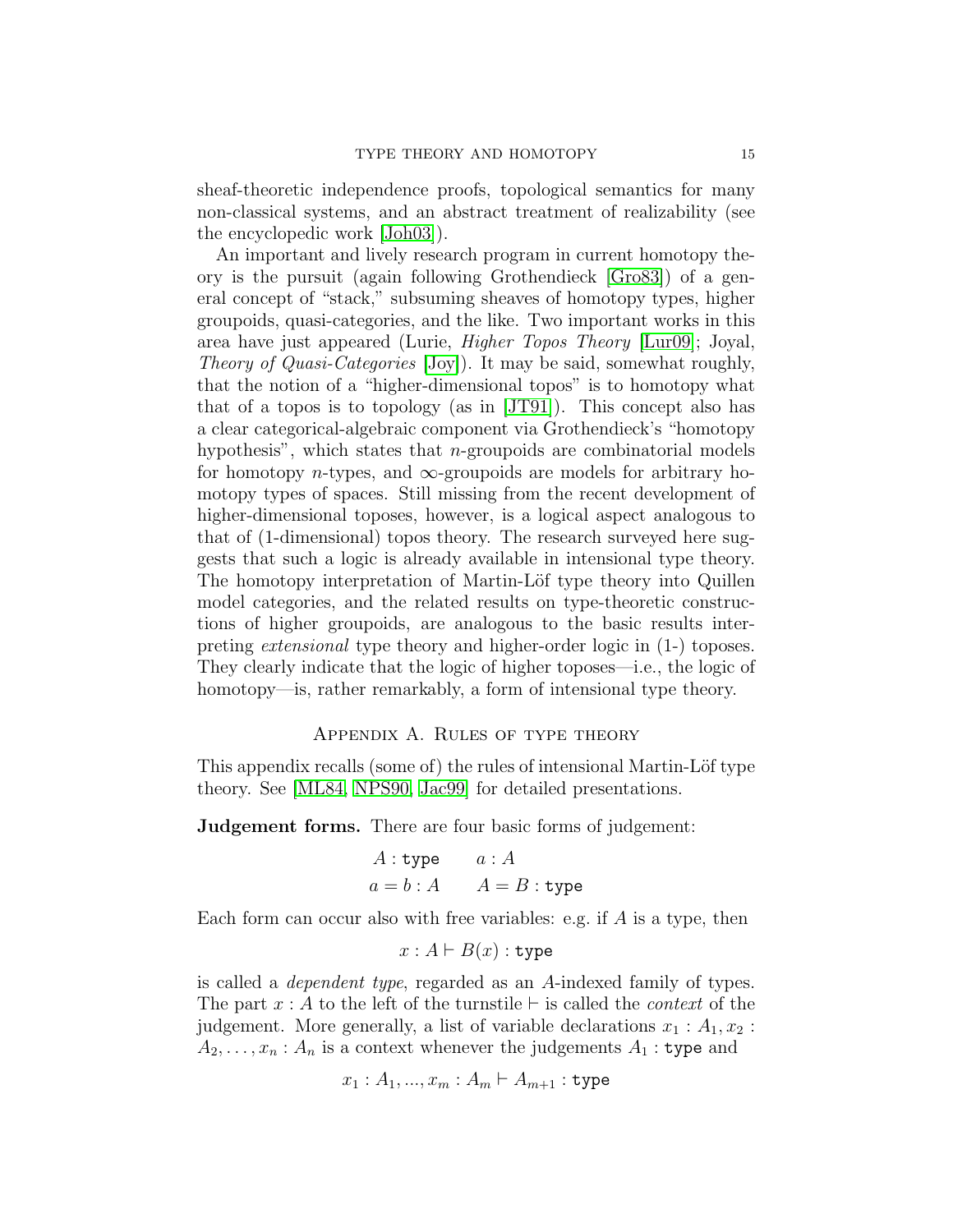sheaf-theoretic independence proofs, topological semantics for many non-classical systems, and an abstract treatment of realizability (see the encyclopedic work [\[Joh03\]](#page-17-19)).

An important and lively research program in current homotopy theory is the pursuit (again following Grothendieck [\[Gro83\]](#page-17-12)) of a general concept of "stack," subsuming sheaves of homotopy types, higher groupoids, quasi-categories, and the like. Two important works in this area have just appeared (Lurie, Higher Topos Theory [\[Lur09\]](#page-18-11); Joyal, Theory of Quasi-Categories [\[Joy\]](#page-18-10)). It may be said, somewhat roughly, that the notion of a "higher-dimensional topos" is to homotopy what that of a topos is to topology (as in [\[JT91\]](#page-18-20)). This concept also has a clear categorical-algebraic component via Grothendieck's "homotopy hypothesis", which states that *n*-groupoids are combinatorial models for homotopy *n*-types, and  $\infty$ -groupoids are models for arbitrary homotopy types of spaces. Still missing from the recent development of higher-dimensional toposes, however, is a logical aspect analogous to that of (1-dimensional) topos theory. The research surveyed here suggests that such a logic is already available in intensional type theory. The homotopy interpretation of Martin-Löf type theory into Quillen model categories, and the related results on type-theoretic constructions of higher groupoids, are analogous to the basic results interpreting extensional type theory and higher-order logic in (1-) toposes. They clearly indicate that the logic of higher toposes—i.e., the logic of homotopy—is, rather remarkably, a form of intensional type theory.

### Appendix A. Rules of type theory

This appendix recalls (some of) the rules of intensional Martin-Löf type theory. See [\[ML84,](#page-18-3) [NPS90,](#page-18-4) [Jac99\]](#page-17-20) for detailed presentations.

Judgement forms. There are four basic forms of judgement:

$$
A: \text{type} \qquad a: A
$$

$$
a = b: A \qquad A = B: \text{type}
$$

Each form can occur also with free variables: e.g. if  $A$  is a type, then

$$
x: A \vdash B(x): \mathtt{type}
$$

is called a dependent type, regarded as an A-indexed family of types. The part  $x : A$  to the left of the turnstile  $\vdash$  is called the *context* of the judgement. More generally, a list of variable declarations  $x_1 : A_1, x_2 :$  $A_2, \ldots, x_n : A_n$  is a context whenever the judgements  $A_1 :$  type and

$$
x_1 : A_1, ..., x_m : A_m \vdash A_{m+1} : \text{type}
$$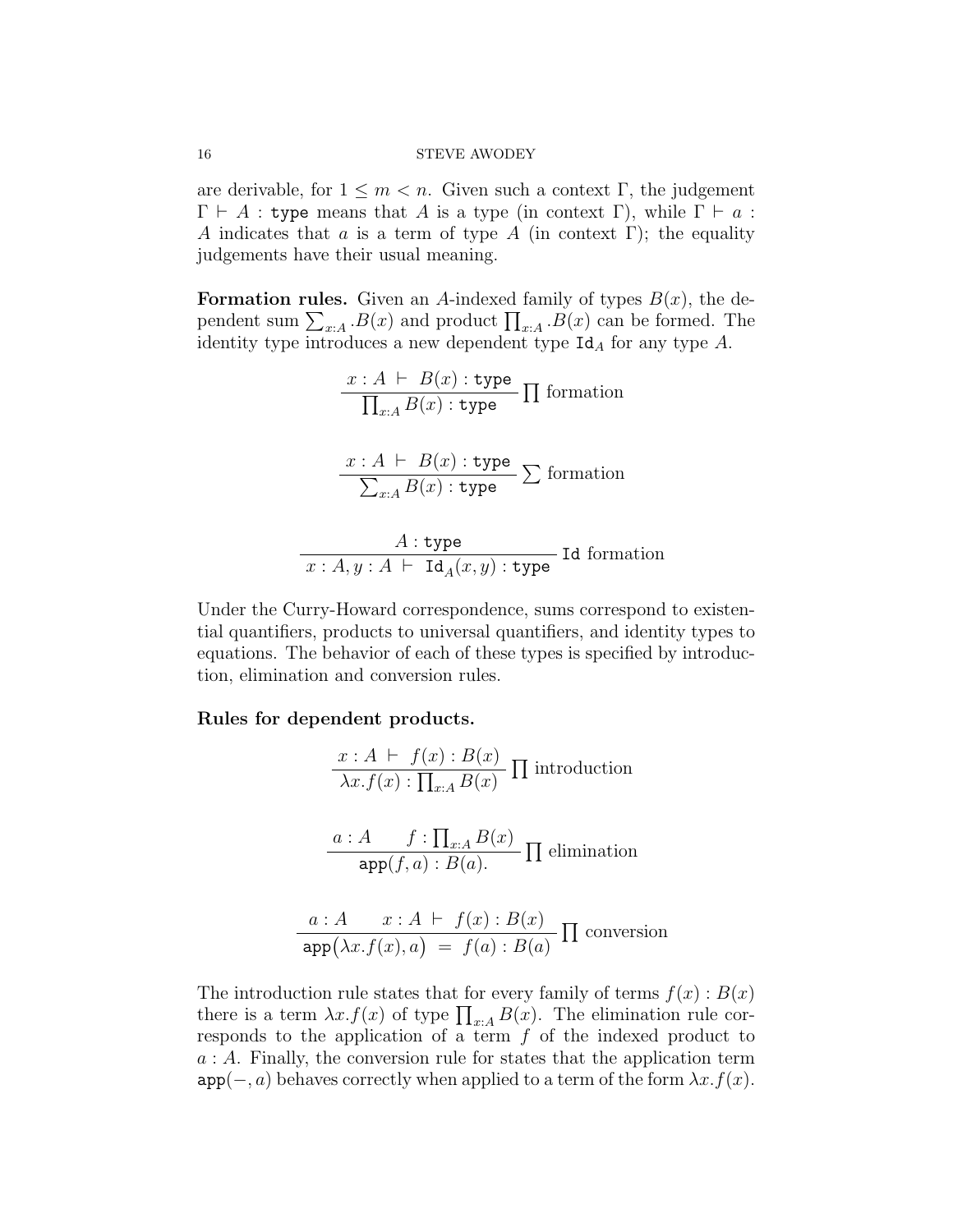are derivable, for  $1 \leq m < n$ . Given such a context Γ, the judgement  $\Gamma \vdash A :$  type means that A is a type (in context  $\Gamma$ ), while  $\Gamma \vdash a :$ A indicates that a is a term of type A (in context  $\Gamma$ ); the equality judgements have their usual meaning.

**Formation rules.** Given an A-indexed family of types  $B(x)$ , the dependent sum  $\sum_{x:A} .B(x)$  and product  $\prod_{x:A} .B(x)$  can be formed. The identity type introduces a new dependent type  $\text{Id}_A$  for any type  $A$ .

$$
x : A \vdash B(x) : \text{type} \prod \text{formation}
$$
\n
$$
\frac{x : A \vdash B(x) : \text{type}}{\sum_{x : A} B(x) : \text{type}} \sum \text{formation}
$$
\n
$$
A : \text{type}
$$
\n
$$
x : A, y : A \vdash \text{Id}_{A}(x, y) : \text{type} \quad \text{Id} \text{ formation}
$$

Under the Curry-Howard correspondence, sums correspond to existential quantifiers, products to universal quantifiers, and identity types to equations. The behavior of each of these types is specified by introduction, elimination and conversion rules.

### Rules for dependent products.

$$
\frac{x:A \vdash f(x):B(x)}{\lambda x.f(x): \prod_{x:A} B(x)} \prod \text{introduction}
$$
\n
$$
\frac{a:A \quad f: \prod_{x:A} B(x)}{\text{app}(f,a):B(a)} \prod \text{elimination}
$$
\n
$$
a:A \quad x:A \vdash f(x):B(x)
$$

$$
\frac{a: A \quad x: A \vdash f(x): B(x)}{\text{app}(\lambda x. f(x), a) = f(a): B(a)} \prod \text{ conversion}
$$

The introduction rule states that for every family of terms  $f(x) : B(x)$ there is a term  $\lambda x.f(x)$  of type  $\prod_{x:A} B(x)$ . The elimination rule corresponds to the application of a term f of the indexed product to  $a: A.$  Finally, the conversion rule for states that the application term  $app(-, a)$  behaves correctly when applied to a term of the form  $\lambda x.f(x)$ .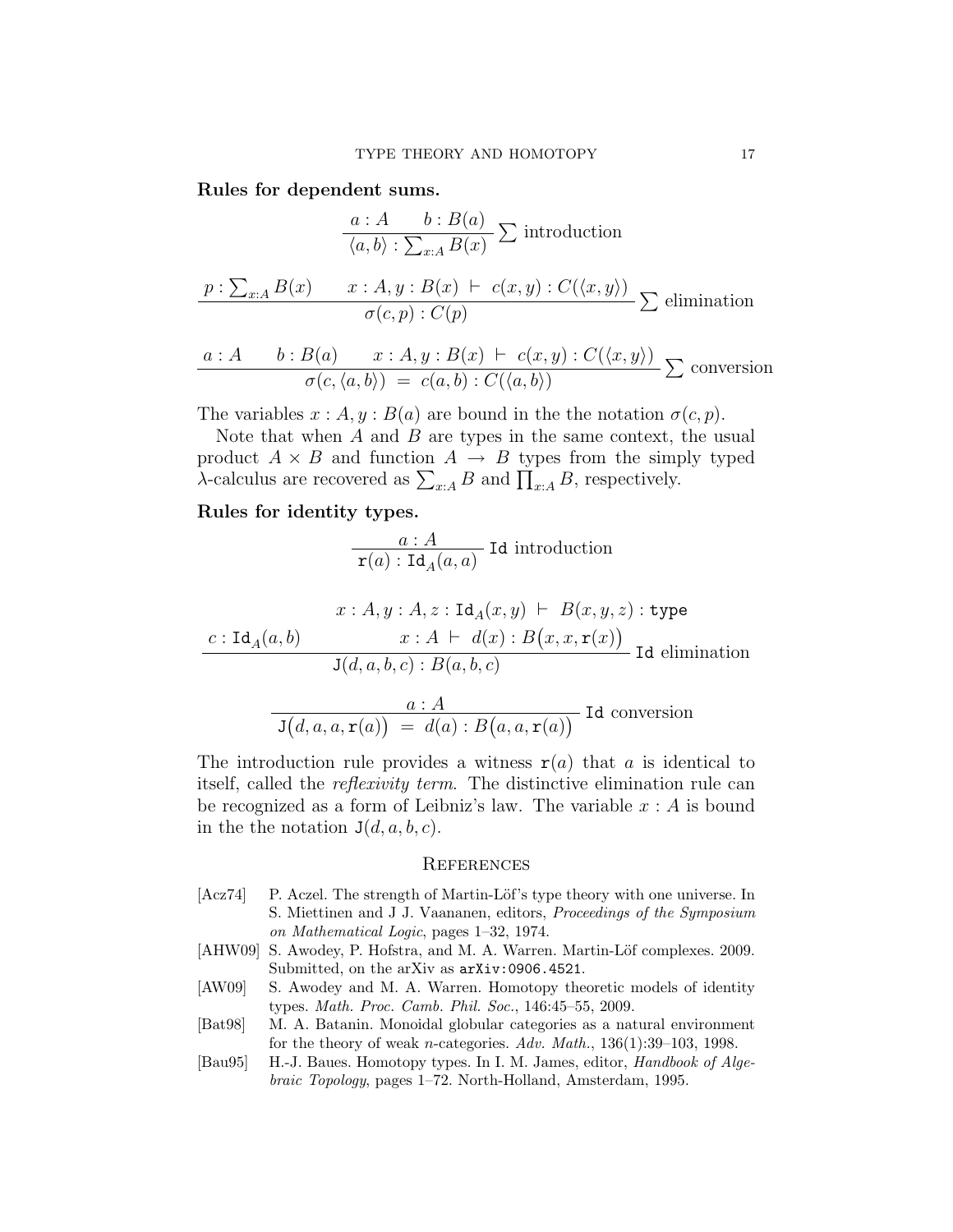Rules for dependent sums.

$$
\frac{a:A \quad b:B(a)}{\langle a,b \rangle : \sum_{x:A} B(x)} \sum \text{introduction}
$$
\n
$$
\frac{p: \sum_{x:A} B(x) \quad x:A, y:B(x) \vdash c(x,y): C(\langle x,y \rangle)}{\sigma(c,p): C(p)} \sum \text{elimination}
$$
\n
$$
a:A \quad b:B(a) \quad x:A, y:B(x) \vdash c(x,y): C(\langle x,y \rangle)
$$

$$
\frac{a:A \quad b: B(a) \quad x:A, y:B(x) \vdash c(x,y): C(\langle x,y \rangle)}{\sigma(c, \langle a,b \rangle) = c(a,b): C(\langle a,b \rangle)}
$$
  $\sum$  conversion

The variables  $x : A, y : B(a)$  are bound in the the notation  $\sigma(c, p)$ .

Note that when  $A$  and  $B$  are types in the same context, the usual product  $A \times B$  and function  $A \rightarrow B$  types from the simply typed  $\lambda$ -calculus are recovered as  $\sum_{x:A} B$  and  $\prod_{x:A} B$ , respectively.

## Rules for identity types.

$$
\frac{a : A}{\mathbf{r}(a) : \text{Id}_A(a, a)} \text{ Id introduction}
$$

$$
x : A, y : A, z : \text{Id}_{A}(x, y) \vdash B(x, y, z) : \text{type}
$$
\n
$$
\underbrace{c : \text{Id}_{A}(a, b) \qquad x : A \vdash d(x) : B(x, x, \mathbf{r}(x))}_{\text{J}(d, a, b, c) : B(a, b, c)} \text{Id elimination}
$$

$$
\frac{a : A}{\text{J}(d, a, a, \textbf{r}(a))} = d(a) : B(a, a, \textbf{r}(a))
$$
Id conversion

The introduction rule provides a witness  $r(a)$  that a is identical to itself, called the reflexivity term. The distinctive elimination rule can be recognized as a form of Leibniz's law. The variable  $x : A$  is bound in the the notation  $J(d, a, b, c)$ .

### **REFERENCES**

- <span id="page-16-2"></span>[Acz74] P. Aczel. The strength of Martin-Löf's type theory with one universe. In S. Miettinen and J J. Vaananen, editors, Proceedings of the Symposium on Mathematical Logic, pages 1–32, 1974.
- <span id="page-16-1"></span>[AHW09] S. Awodey, P. Hofstra, and M. A. Warren. Martin-Löf complexes. 2009. Submitted, on the arXiv as arXiv:0906.4521.
- <span id="page-16-0"></span>[AW09] S. Awodey and M. A. Warren. Homotopy theoretic models of identity types. Math. Proc. Camb. Phil. Soc., 146:45–55, 2009.
- <span id="page-16-3"></span>[Bat98] M. A. Batanin. Monoidal globular categories as a natural environment for the theory of weak *n*-categories. Adv. Math.,  $136(1):39-103$ , 1998.
- <span id="page-16-4"></span>[Bau95] H.-J. Baues. Homotopy types. In I. M. James, editor, Handbook of Algebraic Topology, pages 1–72. North-Holland, Amsterdam, 1995.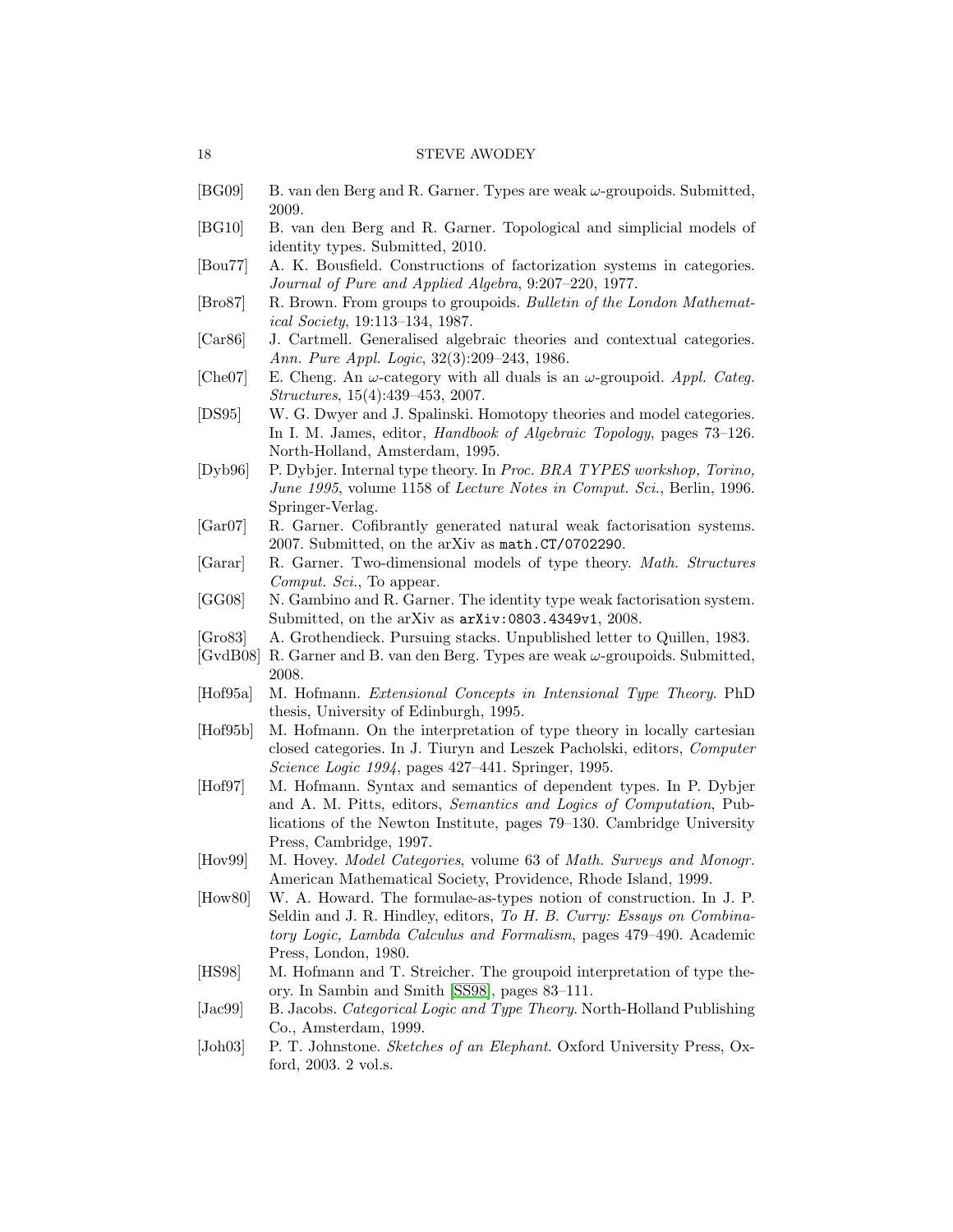- <span id="page-17-0"></span>[BG09] B. van den Berg and R. Garner. Types are weak ω-groupoids. Submitted, 2009.
- <span id="page-17-4"></span>[BG10] B. van den Berg and R. Garner. Topological and simplicial models of identity types. Submitted, 2010.
- <span id="page-17-13"></span>[Bou77] A. K. Bousfield. Constructions of factorization systems in categories. Journal of Pure and Applied Algebra, 9:207–220, 1977.
- <span id="page-17-18"></span>[Bro87] R. Brown. From groups to groupoids. Bulletin of the London Mathematical Society, 19:113–134, 1987.
- <span id="page-17-9"></span>[Car86] J. Cartmell. Generalised algebraic theories and contextual categories. Ann. Pure Appl. Logic, 32(3):209–243, 1986.
- <span id="page-17-17"></span>[Che07] E. Cheng. An  $\omega$ -category with all duals is an  $\omega$ -groupoid. Appl. Categ. Structures, 15(4):439–453, 2007.
- <span id="page-17-14"></span>[DS95] W. G. Dwyer and J. Spalinski. Homotopy theories and model categories. In I. M. James, editor, Handbook of Algebraic Topology, pages 73–126. North-Holland, Amsterdam, 1995.
- <span id="page-17-11"></span>[Dyb96] P. Dybjer. Internal type theory. In Proc. BRA TYPES workshop, Torino, June 1995, volume 1158 of Lecture Notes in Comput. Sci., Berlin, 1996. Springer-Verlag.
- <span id="page-17-16"></span>[Gar07] R. Garner. Cofibrantly generated natural weak factorisation systems. 2007. Submitted, on the arXiv as math.CT/0702290.
- <span id="page-17-2"></span>[Garar] R. Garner. Two-dimensional models of type theory. Math. Structures Comput. Sci., To appear.
- <span id="page-17-1"></span>[GG08] N. Gambino and R. Garner. The identity type weak factorisation system. Submitted, on the arXiv as arXiv:0803.4349v1, 2008.
- <span id="page-17-12"></span>[Gro83] A. Grothendieck. Pursuing stacks. Unpublished letter to Quillen, 1983.
- <span id="page-17-3"></span>[GvdB08] R. Garner and B. van den Berg. Types are weak  $\omega$ -groupoids. Submitted, 2008.
- <span id="page-17-6"></span>[Hof95a] M. Hofmann. Extensional Concepts in Intensional Type Theory. PhD thesis, University of Edinburgh, 1995.
- <span id="page-17-10"></span>[Hof95b] M. Hofmann. On the interpretation of type theory in locally cartesian closed categories. In J. Tiuryn and Leszek Pacholski, editors, Computer Science Logic 1994, pages 427–441. Springer, 1995.
- <span id="page-17-8"></span>[Hof97] M. Hofmann. Syntax and semantics of dependent types. In P. Dybjer and A. M. Pitts, editors, Semantics and Logics of Computation, Publications of the Newton Institute, pages 79–130. Cambridge University Press, Cambridge, 1997.
- <span id="page-17-15"></span>[Hov99] M. Hovey. Model Categories, volume 63 of Math. Surveys and Monogr. American Mathematical Society, Providence, Rhode Island, 1999.
- <span id="page-17-5"></span>[How80] W. A. Howard. The formulae-as-types notion of construction. In J. P. Seldin and J. R. Hindley, editors, To H. B. Curry: Essays on Combinatory Logic, Lambda Calculus and Formalism, pages 479–490. Academic Press, London, 1980.
- <span id="page-17-7"></span>[HS98] M. Hofmann and T. Streicher. The groupoid interpretation of type theory. In Sambin and Smith [\[SS98\]](#page-19-8), pages 83–111.
- <span id="page-17-20"></span>[Jac99] B. Jacobs. *Categorical Logic and Type Theory*. North-Holland Publishing Co., Amsterdam, 1999.
- <span id="page-17-19"></span>[Joh03] P. T. Johnstone. *Sketches of an Elephant*. Oxford University Press, Oxford, 2003. 2 vol.s.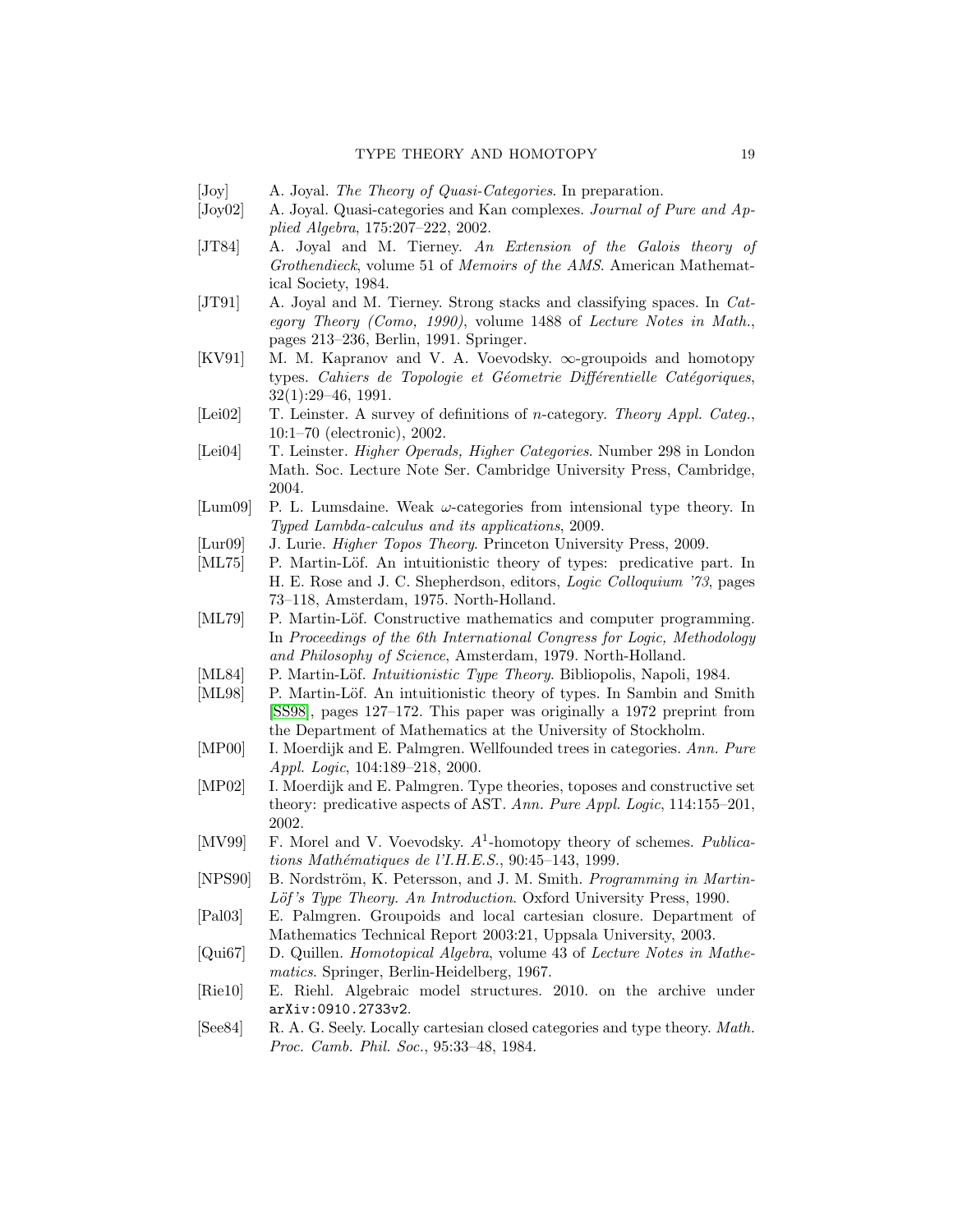- <span id="page-18-10"></span>[Joy] A. Joyal. The Theory of Quasi-Categories. In preparation.
- <span id="page-18-9"></span>[Joy02] A. Joyal. Quasi-categories and Kan complexes. Journal of Pure and Applied Algebra, 175:207–222, 2002.
- <span id="page-18-19"></span>[JT84] A. Joyal and M. Tierney. An Extension of the Galois theory of Grothendieck, volume 51 of Memoirs of the AMS. American Mathematical Society, 1984.
- <span id="page-18-20"></span>[JT91] A. Joyal and M. Tierney. Strong stacks and classifying spaces. In Category Theory (Como, 1990), volume 1488 of Lecture Notes in Math., pages 213–236, Berlin, 1991. Springer.
- <span id="page-18-6"></span>[KV91] M. M. Kapranov and V. A. Voevodsky. ∞-groupoids and homotopy types. Cahiers de Topologie et Géometrie Différentielle Catégoriques, 32(1):29–46, 1991.
- <span id="page-18-17"></span>[Lei02] T. Leinster. A survey of definitions of n-category. Theory Appl. Categ., 10:1–70 (electronic), 2002.
- <span id="page-18-18"></span>[Lei04] T. Leinster. Higher Operads, Higher Categories. Number 298 in London Math. Soc. Lecture Note Ser. Cambridge University Press, Cambridge, 2004.
- <span id="page-18-0"></span>[Lum09] P. L. Lumsdaine. Weak  $\omega$ -categories from intensional type theory. In Typed Lambda-calculus and its applications, 2009.
- <span id="page-18-11"></span>[Lur09] J. Lurie. *Higher Topos Theory*. Princeton University Press, 2009.
- <span id="page-18-1"></span>[ML75] P. Martin-Löf. An intuitionistic theory of types: predicative part. In H. E. Rose and J. C. Shepherdson, editors, Logic Colloquium '73, pages 73–118, Amsterdam, 1975. North-Holland.
- <span id="page-18-5"></span>[ML79] P. Martin-Löf. Constructive mathematics and computer programming. In Proceedings of the 6th International Congress for Logic, Methodology and Philosophy of Science, Amsterdam, 1979. North-Holland.
- <span id="page-18-3"></span>[ML84] P. Martin-Löf. *Intuitionistic Type Theory*. Bibliopolis, Napoli, 1984.
- <span id="page-18-2"></span>[ML98] P. Martin-Löf. An intuitionistic theory of types. In Sambin and Smith [\[SS98\]](#page-19-8), pages 127–172. This paper was originally a 1972 preprint from the Department of Mathematics at the University of Stockholm.
- <span id="page-18-12"></span>[MP00] I. Moerdijk and E. Palmgren. Wellfounded trees in categories. Ann. Pure Appl. Logic, 104:189–218, 2000.
- <span id="page-18-13"></span>[MP02] I. Moerdijk and E. Palmgren. Type theories, toposes and constructive set theory: predicative aspects of AST. Ann. Pure Appl. Logic, 114:155–201, 2002.
- <span id="page-18-8"></span>[MV99] F. Morel and V. Voevodsky.  $A^1$ -homotopy theory of schemes. *Publica*tions Mathématiques de l'I.H.E.S.,  $90:45-143$ , 1999.
- <span id="page-18-4"></span>[NPS90] B. Nordström, K. Petersson, and J. M. Smith. *Programming in Martin*-Löf's Type Theory. An Introduction. Oxford University Press, 1990.
- <span id="page-18-14"></span>[Pal03] E. Palmgren. Groupoids and local cartesian closure. Department of Mathematics Technical Report 2003:21, Uppsala University, 2003.
- <span id="page-18-7"></span>[Qui67] D. Quillen. Homotopical Algebra, volume 43 of Lecture Notes in Mathematics. Springer, Berlin-Heidelberg, 1967.
- <span id="page-18-16"></span>[Rie10] E. Riehl. Algebraic model structures. 2010. on the archive under arXiv:0910.2733v2.
- <span id="page-18-15"></span>[See84] R. A. G. Seely. Locally cartesian closed categories and type theory. Math. Proc. Camb. Phil. Soc., 95:33–48, 1984.